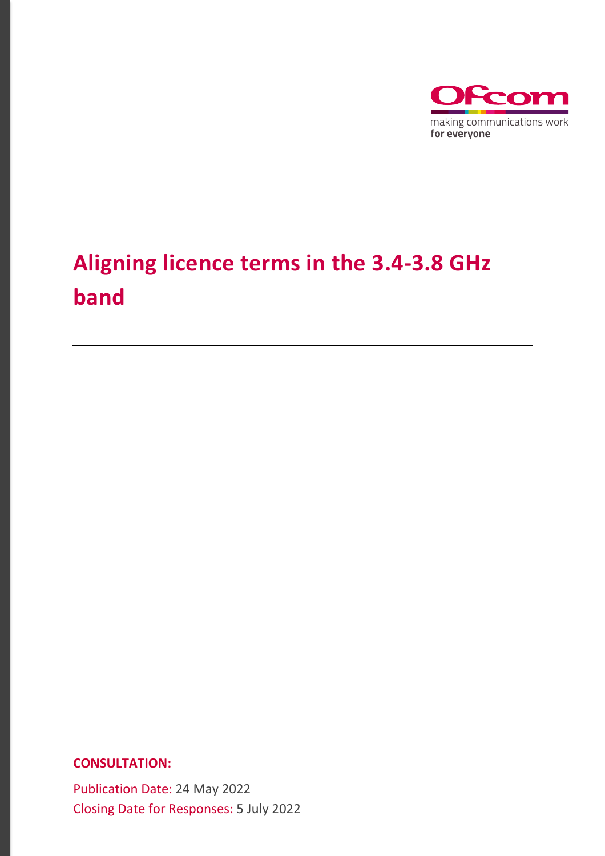

# **Aligning licence terms in the 3.4-3.8 GHz band**

**CONSULTATION:**

Publication Date: 24 May 2022 Closing Date for Responses: 5 July 2022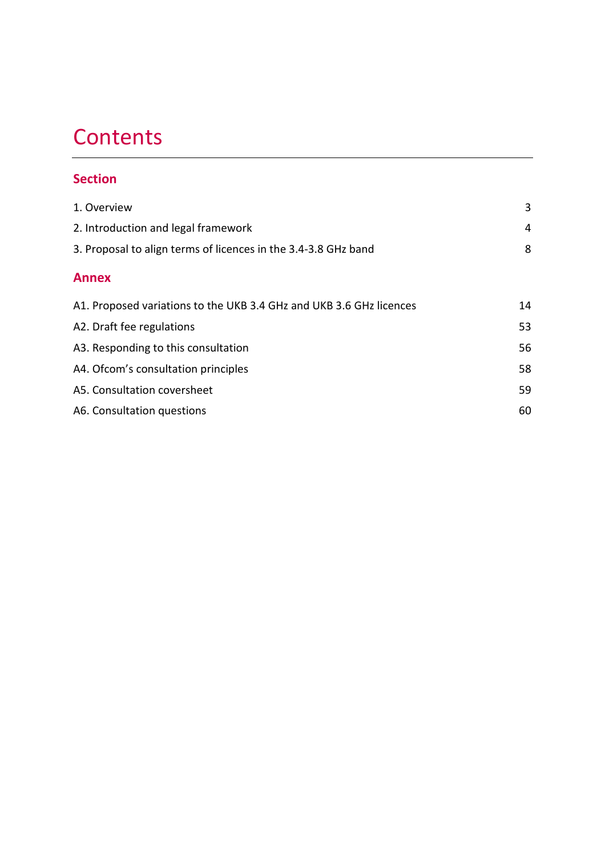# **Contents**

# **Section**

| 3  |
|----|
| 4  |
| 8  |
|    |
| 14 |
| 53 |
| 56 |
| 58 |
| 59 |
| 60 |
|    |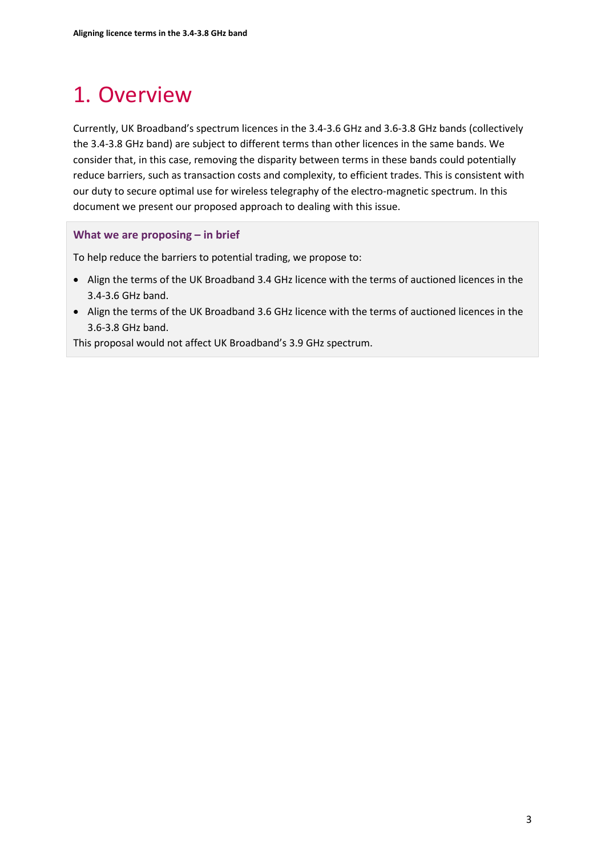# <span id="page-2-0"></span>1. Overview

Currently, UK Broadband's spectrum licences in the 3.4-3.6 GHz and 3.6-3.8 GHz bands (collectively the 3.4-3.8 GHz band) are subject to different terms than other licences in the same bands. We consider that, in this case, removing the disparity between terms in these bands could potentially reduce barriers, such as transaction costs and complexity, to efficient trades. This is consistent with our duty to secure optimal use for wireless telegraphy of the electro-magnetic spectrum. In this document we present our proposed approach to dealing with this issue.

# **What we are proposing – in brief**

To help reduce the barriers to potential trading, we propose to:

- Align the terms of the UK Broadband 3.4 GHz licence with the terms of auctioned licences in the 3.4-3.6 GHz band.
- Align the terms of the UK Broadband 3.6 GHz licence with the terms of auctioned licences in the 3.6-3.8 GHz band.

This proposal would not affect UK Broadband's 3.9 GHz spectrum.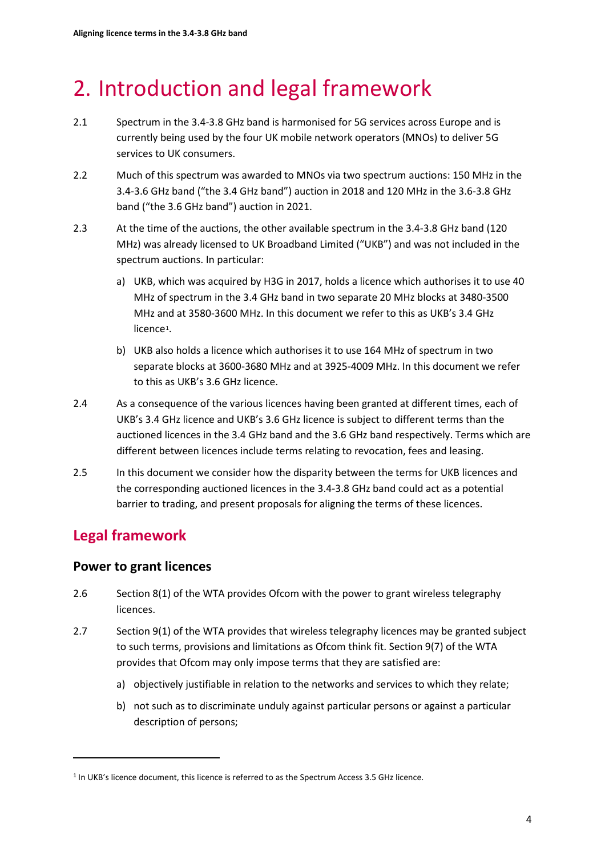# <span id="page-3-0"></span>2. Introduction and legal framework

- 2.1 Spectrum in the 3.4-3.8 GHz band is harmonised for 5G services across Europe and is currently being used by the four UK mobile network operators (MNOs) to deliver 5G services to UK consumers.
- 2.2 Much of this spectrum was awarded to MNOs via two spectrum auctions: 150 MHz in the 3.4-3.6 GHz band ("the 3.4 GHz band") auction in 2018 and 120 MHz in the 3.6-3.8 GHz band ("the 3.6 GHz band") auction in 2021.
- 2.3 At the time of the auctions, the other available spectrum in the 3.4-3.8 GHz band (120 MHz) was already licensed to UK Broadband Limited ("UKB") and was not included in the spectrum auctions. In particular:
	- a) UKB, which was acquired by H3G in 2017, holds a licence which authorises it to use 40 MHz of spectrum in the 3.4 GHz band in two separate 20 MHz blocks at 3480-3500 MHz and at 3580-3600 MHz. In this document we refer to this as UKB's 3.4 GHz licence<sup>[1](#page-3-1)</sup>.
	- b) UKB also holds a licence which authorises it to use 164 MHz of spectrum in two separate blocks at 3600-3680 MHz and at 3925-4009 MHz. In this document we refer to this as UKB's 3.6 GHz licence.
- 2.4 As a consequence of the various licences having been granted at different times, each of UKB's 3.4 GHz licence and UKB's 3.6 GHz licence is subject to different terms than the auctioned licences in the 3.4 GHz band and the 3.6 GHz band respectively. Terms which are different between licences include terms relating to revocation, fees and leasing.
- 2.5 In this document we consider how the disparity between the terms for UKB licences and the corresponding auctioned licences in the 3.4-3.8 GHz band could act as a potential barrier to trading, and present proposals for aligning the terms of these licences.

# **Legal framework**

# **Power to grant licences**

- 2.6 Section 8(1) of the WTA provides Ofcom with the power to grant wireless telegraphy licences.
- 2.7 Section 9(1) of the WTA provides that wireless telegraphy licences may be granted subject to such terms, provisions and limitations as Ofcom think fit. Section 9(7) of the WTA provides that Ofcom may only impose terms that they are satisfied are:
	- a) objectively justifiable in relation to the networks and services to which they relate;
	- b) not such as to discriminate unduly against particular persons or against a particular description of persons;

<span id="page-3-1"></span><sup>1</sup> In UKB's licence document, this licence is referred to as the Spectrum Access 3.5 GHz licence.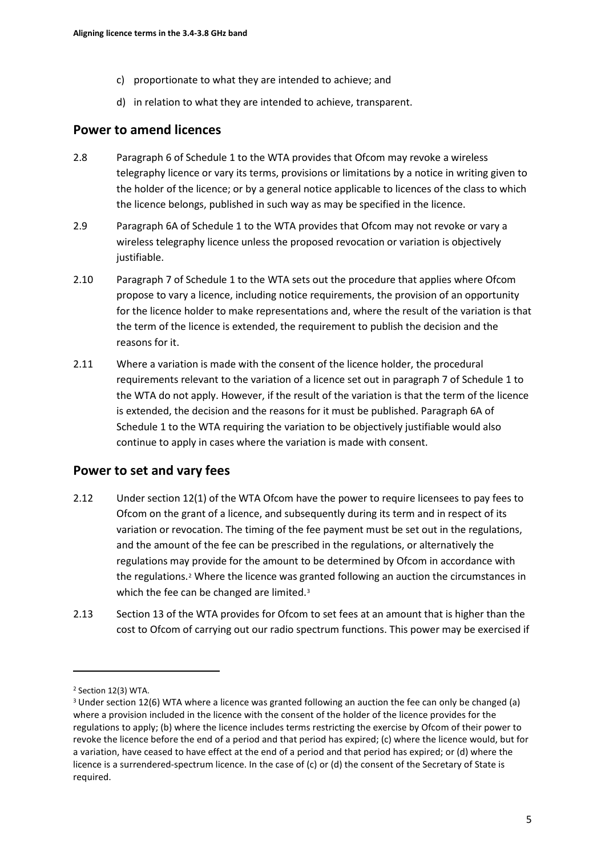- c) proportionate to what they are intended to achieve; and
- d) in relation to what they are intended to achieve, transparent.

# **Power to amend licences**

- 2.8 Paragraph 6 of Schedule 1 to the WTA provides that Ofcom may revoke a wireless telegraphy licence or vary its terms, provisions or limitations by a notice in writing given to the holder of the licence; or by a general notice applicable to licences of the class to which the licence belongs, published in such way as may be specified in the licence.
- 2.9 Paragraph 6A of Schedule 1 to the WTA provides that Ofcom may not revoke or vary a wireless telegraphy licence unless the proposed revocation or variation is objectively justifiable.
- 2.10 Paragraph 7 of Schedule 1 to the WTA sets out the procedure that applies where Ofcom propose to vary a licence, including notice requirements, the provision of an opportunity for the licence holder to make representations and, where the result of the variation is that the term of the licence is extended, the requirement to publish the decision and the reasons for it.
- 2.11 Where a variation is made with the consent of the licence holder, the procedural requirements relevant to the variation of a licence set out in paragraph 7 of Schedule 1 to the WTA do not apply. However, if the result of the variation is that the term of the licence is extended, the decision and the reasons for it must be published. Paragraph 6A of Schedule 1 to the WTA requiring the variation to be objectively justifiable would also continue to apply in cases where the variation is made with consent.

# **Power to set and vary fees**

- 2.12 Under section 12(1) of the WTA Ofcom have the power to require licensees to pay fees to Ofcom on the grant of a licence, and subsequently during its term and in respect of its variation or revocation. The timing of the fee payment must be set out in the regulations, and the amount of the fee can be prescribed in the regulations, or alternatively the regulations may provide for the amount to be determined by Ofcom in accordance with the regulations.[2](#page-4-0) Where the licence was granted following an auction the circumstances in which the fee can be changed are limited.<sup>[3](#page-4-1)</sup>
- 2.13 Section 13 of the WTA provides for Ofcom to set fees at an amount that is higher than the cost to Ofcom of carrying out our radio spectrum functions. This power may be exercised if

<span id="page-4-0"></span><sup>2</sup> Section 12(3) WTA.

<span id="page-4-1"></span><sup>3</sup> Under section 12(6) WTA where a licence was granted following an auction the fee can only be changed (a) where a provision included in the licence with the consent of the holder of the licence provides for the regulations to apply; (b) where the licence includes terms restricting the exercise by Ofcom of their power to revoke the licence before the end of a period and that period has expired; (c) where the licence would, but for a variation, have ceased to have effect at the end of a period and that period has expired; or (d) where the licence is a surrendered-spectrum licence. In the case of (c) or (d) the consent of the Secretary of State is required.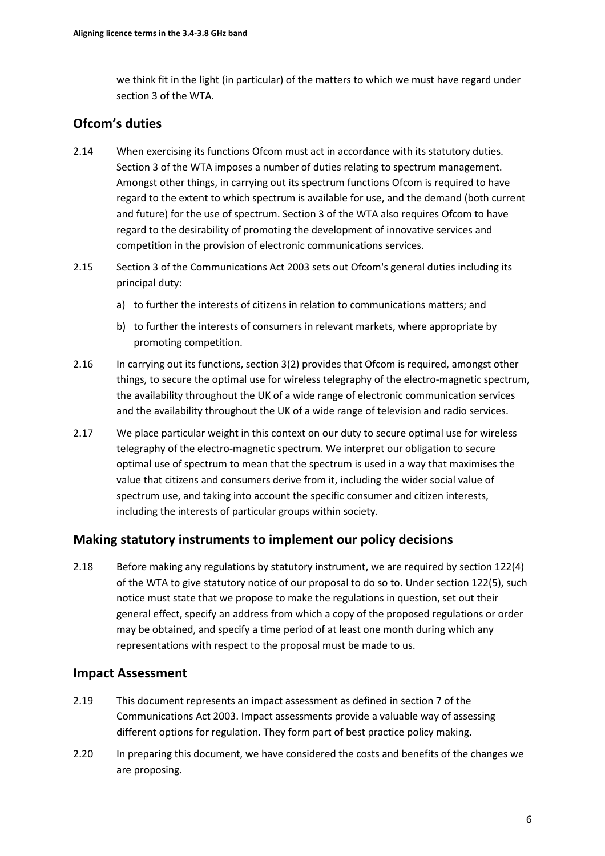we think fit in the light (in particular) of the matters to which we must have regard under section 3 of the WTA.

# **Ofcom's duties**

- 2.14 When exercising its functions Ofcom must act in accordance with its statutory duties. Section 3 of the WTA imposes a number of duties relating to spectrum management. Amongst other things, in carrying out its spectrum functions Ofcom is required to have regard to the extent to which spectrum is available for use, and the demand (both current and future) for the use of spectrum. Section 3 of the WTA also requires Ofcom to have regard to the desirability of promoting the development of innovative services and competition in the provision of electronic communications services.
- 2.15 Section 3 of the Communications Act 2003 sets out Ofcom's general duties including its principal duty:
	- a) to further the interests of citizens in relation to communications matters; and
	- b) to further the interests of consumers in relevant markets, where appropriate by promoting competition.
- 2.16 In carrying out its functions, section 3(2) provides that Ofcom is required, amongst other things, to secure the optimal use for wireless telegraphy of the electro-magnetic spectrum, the availability throughout the UK of a wide range of electronic communication services and the availability throughout the UK of a wide range of television and radio services.
- 2.17 We place particular weight in this context on our duty to secure optimal use for wireless telegraphy of the electro-magnetic spectrum. We interpret our obligation to secure optimal use of spectrum to mean that the spectrum is used in a way that maximises the value that citizens and consumers derive from it, including the wider social value of spectrum use, and taking into account the specific consumer and citizen interests, including the interests of particular groups within society.

# **Making statutory instruments to implement our policy decisions**

2.18 Before making any regulations by statutory instrument, we are required by section 122(4) of the WTA to give statutory notice of our proposal to do so to. Under section 122(5), such notice must state that we propose to make the regulations in question, set out their general effect, specify an address from which a copy of the proposed regulations or order may be obtained, and specify a time period of at least one month during which any representations with respect to the proposal must be made to us.

# **Impact Assessment**

- 2.19 This document represents an impact assessment as defined in section 7 of the Communications Act 2003. Impact assessments provide a valuable way of assessing different options for regulation. They form part of best practice policy making.
- 2.20 In preparing this document, we have considered the costs and benefits of the changes we are proposing.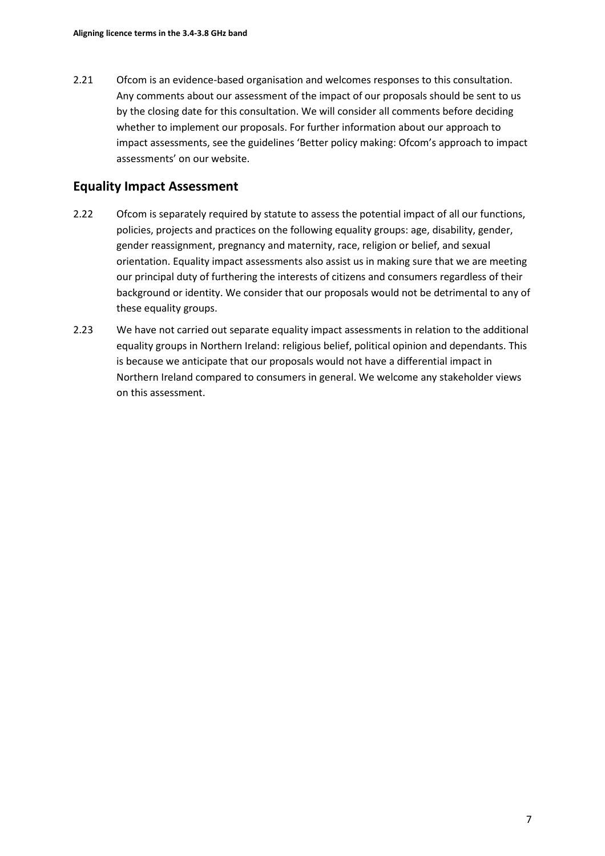2.21 Ofcom is an evidence-based organisation and welcomes responses to this consultation. Any comments about our assessment of the impact of our proposals should be sent to us by the closing date for this consultation. We will consider all comments before deciding whether to implement our proposals. For further information about our approach to impact assessments, see the guidelines 'Better policy making: Ofcom's approach to impact assessments' on our website.

# **Equality Impact Assessment**

- 2.22 Ofcom is separately required by statute to assess the potential impact of all our functions, policies, projects and practices on the following equality groups: age, disability, gender, gender reassignment, pregnancy and maternity, race, religion or belief, and sexual orientation. Equality impact assessments also assist us in making sure that we are meeting our principal duty of furthering the interests of citizens and consumers regardless of their background or identity. We consider that our proposals would not be detrimental to any of these equality groups.
- 2.23 We have not carried out separate equality impact assessments in relation to the additional equality groups in Northern Ireland: religious belief, political opinion and dependants. This is because we anticipate that our proposals would not have a differential impact in Northern Ireland compared to consumers in general. We welcome any stakeholder views on this assessment.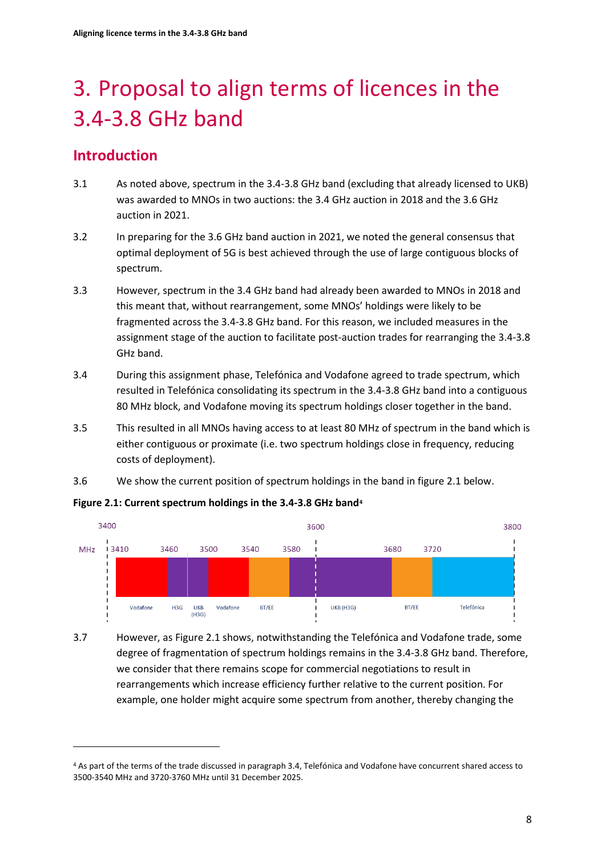# <span id="page-7-0"></span>3. Proposal to align terms of licences in the 3.4-3.8 GHz band

# **Introduction**

- 3.1 As noted above, spectrum in the 3.4-3.8 GHz band (excluding that already licensed to UKB) was awarded to MNOs in two auctions: the 3.4 GHz auction in 2018 and the 3.6 GHz auction in 2021.
- 3.2 In preparing for the 3.6 GHz band auction in 2021, we noted the general consensus that optimal deployment of 5G is best achieved through the use of large contiguous blocks of spectrum.
- 3.3 However, spectrum in the 3.4 GHz band had already been awarded to MNOs in 2018 and this meant that, without rearrangement, some MNOs' holdings were likely to be fragmented across the 3.4-3.8 GHz band. For this reason, we included measures in the assignment stage of the auction to facilitate post-auction trades for rearranging the 3.4-3.8 GHz band.
- 3.4 During this assignment phase, Telefónica and Vodafone agreed to trade spectrum, which resulted in Telefónica consolidating its spectrum in the 3.4-3.8 GHz band into a contiguous 80 MHz block, and Vodafone moving its spectrum holdings closer together in the band.
- 3.5 This resulted in all MNOs having access to at least 80 MHz of spectrum in the band which is either contiguous or proximate (i.e. two spectrum holdings close in frequency, reducing costs of deployment).
- 3.6 We show the current position of spectrum holdings in the band in figure 2.1 below.

#### **Figure 2.1: Current spectrum holdings in the 3.4-3.8 GHz band[4](#page-7-1)**



3.7 However, as Figure 2.1 shows, notwithstanding the Telefónica and Vodafone trade, some degree of fragmentation of spectrum holdings remains in the 3.4-3.8 GHz band. Therefore, we consider that there remains scope for commercial negotiations to result in rearrangements which increase efficiency further relative to the current position. For example, one holder might acquire some spectrum from another, thereby changing the

<span id="page-7-1"></span><sup>4</sup> As part of the terms of the trade discussed in paragraph 3.4, Telefónica and Vodafone have concurrent shared access to 3500-3540 MHz and 3720-3760 MHz until 31 December 2025.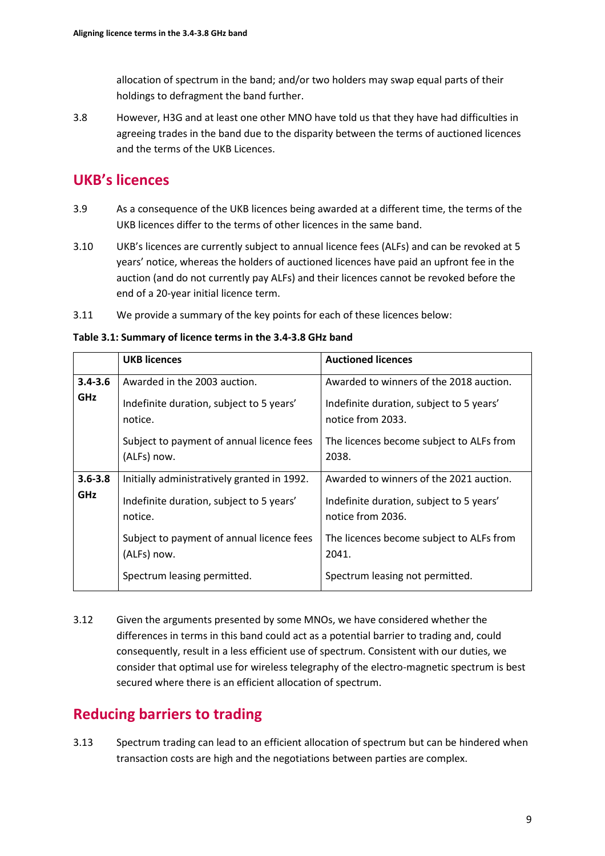allocation of spectrum in the band; and/or two holders may swap equal parts of their holdings to defragment the band further.

3.8 However, H3G and at least one other MNO have told us that they have had difficulties in agreeing trades in the band due to the disparity between the terms of auctioned licences and the terms of the UKB Licences.

# **UKB's licences**

- 3.9 As a consequence of the UKB licences being awarded at a different time, the terms of the UKB licences differ to the terms of other licences in the same band.
- 3.10 UKB's licences are currently subject to annual licence fees (ALFs) and can be revoked at 5 years' notice, whereas the holders of auctioned licences have paid an upfront fee in the auction (and do not currently pay ALFs) and their licences cannot be revoked before the end of a 20-year initial licence term.
- 3.11 We provide a summary of the key points for each of these licences below:

**Table 3.1: Summary of licence terms in the 3.4-3.8 GHz band** 

|             | <b>UKB licences</b>                                      | <b>Auctioned licences</b>                                     |
|-------------|----------------------------------------------------------|---------------------------------------------------------------|
| $3.4 - 3.6$ | Awarded in the 2003 auction.                             | Awarded to winners of the 2018 auction.                       |
| <b>GHz</b>  | Indefinite duration, subject to 5 years'<br>notice.      | Indefinite duration, subject to 5 years'<br>notice from 2033. |
|             | Subject to payment of annual licence fees<br>(ALFs) now. | The licences become subject to ALFs from<br>2038.             |
| $3.6 - 3.8$ | Initially administratively granted in 1992.              | Awarded to winners of the 2021 auction.                       |
| <b>GHz</b>  | Indefinite duration, subject to 5 years'<br>notice.      | Indefinite duration, subject to 5 years'<br>notice from 2036. |
|             | Subject to payment of annual licence fees<br>(ALFs) now. | The licences become subject to ALFs from<br>2041.             |
|             | Spectrum leasing permitted.                              | Spectrum leasing not permitted.                               |

3.12 Given the arguments presented by some MNOs, we have considered whether the differences in terms in this band could act as a potential barrier to trading and, could consequently, result in a less efficient use of spectrum. Consistent with our duties, we consider that optimal use for wireless telegraphy of the electro-magnetic spectrum is best secured where there is an efficient allocation of spectrum.

# **Reducing barriers to trading**

3.13 Spectrum trading can lead to an efficient allocation of spectrum but can be hindered when transaction costs are high and the negotiations between parties are complex.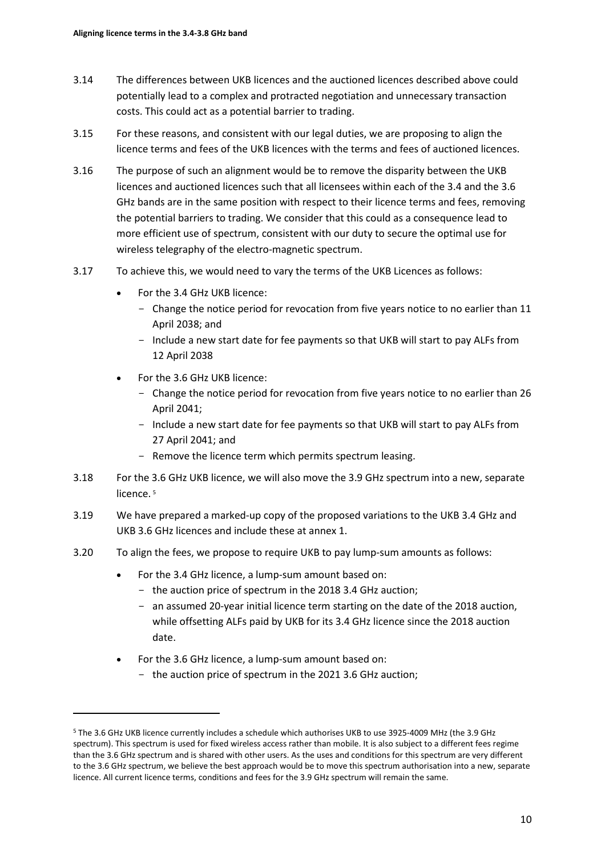- 3.14 The differences between UKB licences and the auctioned licences described above could potentially lead to a complex and protracted negotiation and unnecessary transaction costs. This could act as a potential barrier to trading.
- 3.15 For these reasons, and consistent with our legal duties, we are proposing to align the licence terms and fees of the UKB licences with the terms and fees of auctioned licences.
- 3.16 The purpose of such an alignment would be to remove the disparity between the UKB licences and auctioned licences such that all licensees within each of the 3.4 and the 3.6 GHz bands are in the same position with respect to their licence terms and fees, removing the potential barriers to trading. We consider that this could as a consequence lead to more efficient use of spectrum, consistent with our duty to secure the optimal use for wireless telegraphy of the electro-magnetic spectrum.
- 3.17 To achieve this, we would need to vary the terms of the UKB Licences as follows:
	- For the 3.4 GHz UKB licence:
		- Change the notice period for revocation from five years notice to no earlier than 11 April 2038; and
		- Include a new start date for fee payments so that UKB will start to pay ALFs from 12 April 2038
	- For the 3.6 GHz UKB licence:
		- Change the notice period for revocation from five years notice to no earlier than 26 April 2041;
		- Include a new start date for fee payments so that UKB will start to pay ALFs from 27 April 2041; and
		- Remove the licence term which permits spectrum leasing.
- 3.18 For the 3.6 GHz UKB licence, we will also move the 3.9 GHz spectrum into a new, separate licence.<sup>[5](#page-9-0)</sup>
- 3.19 We have prepared a marked-up copy of the proposed variations to the UKB 3.4 GHz and UKB 3.6 GHz licences and include these at annex 1.
- 3.20 To align the fees, we propose to require UKB to pay lump-sum amounts as follows:
	- For the 3.4 GHz licence, a lump-sum amount based on:
		- the auction price of spectrum in the 2018 3.4 GHz auction;
		- an assumed 20-year initial licence term starting on the date of the 2018 auction, while offsetting ALFs paid by UKB for its 3.4 GHz licence since the 2018 auction date.
	- For the 3.6 GHz licence, a lump-sum amount based on:
		- the auction price of spectrum in the 2021 3.6 GHz auction;

<span id="page-9-0"></span><sup>5</sup> The 3.6 GHz UKB licence currently includes a schedule which authorises UKB to use 3925-4009 MHz (the 3.9 GHz spectrum). This spectrum is used for fixed wireless access rather than mobile. It is also subject to a different fees regime than the 3.6 GHz spectrum and is shared with other users. As the uses and conditions for this spectrum are very different to the 3.6 GHz spectrum, we believe the best approach would be to move this spectrum authorisation into a new, separate licence. All current licence terms, conditions and fees for the 3.9 GHz spectrum will remain the same.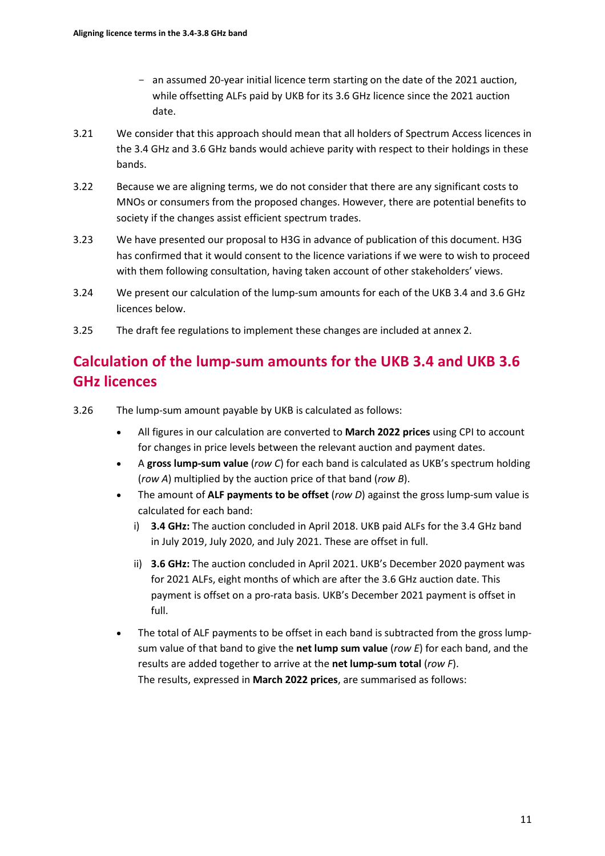- an assumed 20-year initial licence term starting on the date of the 2021 auction, while offsetting ALFs paid by UKB for its 3.6 GHz licence since the 2021 auction date.
- 3.21 We consider that this approach should mean that all holders of Spectrum Access licences in the 3.4 GHz and 3.6 GHz bands would achieve parity with respect to their holdings in these bands.
- 3.22 Because we are aligning terms, we do not consider that there are any significant costs to MNOs or consumers from the proposed changes. However, there are potential benefits to society if the changes assist efficient spectrum trades.
- 3.23 We have presented our proposal to H3G in advance of publication of this document. H3G has confirmed that it would consent to the licence variations if we were to wish to proceed with them following consultation, having taken account of other stakeholders' views.
- 3.24 We present our calculation of the lump-sum amounts for each of the UKB 3.4 and 3.6 GHz licences below.
- 3.25 The draft fee regulations to implement these changes are included at annex 2.

# **Calculation of the lump-sum amounts for the UKB 3.4 and UKB 3.6 GHz licences**

- 3.26 The lump-sum amount payable by UKB is calculated as follows:
	- All figures in our calculation are converted to **March 2022 prices** using CPI to account for changes in price levels between the relevant auction and payment dates.
	- A **gross lump-sum value** (*row C*) for each band is calculated as UKB's spectrum holding (*row A*) multiplied by the auction price of that band (*row B*).
	- The amount of **ALF payments to be offset** (*row D*) against the gross lump-sum value is calculated for each band:
		- i) **3.4 GHz:** The auction concluded in April 2018. UKB paid ALFs for the 3.4 GHz band in July 2019, July 2020, and July 2021. These are offset in full.
		- ii) **3.6 GHz:** The auction concluded in April 2021. UKB's December 2020 payment was for 2021 ALFs, eight months of which are after the 3.6 GHz auction date. This payment is offset on a pro-rata basis. UKB's December 2021 payment is offset in full.
	- The total of ALF payments to be offset in each band is subtracted from the gross lumpsum value of that band to give the **net lump sum value** (*row E*) for each band, and the results are added together to arrive at the **net lump-sum total** (*row F*). The results, expressed in **March 2022 prices**, are summarised as follows: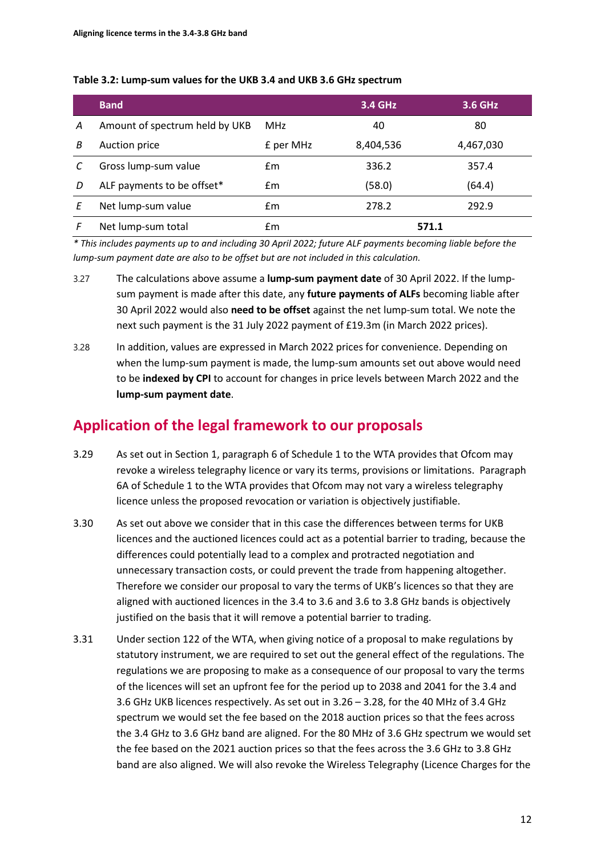|   | <b>Band</b>                    |            | <b>3.4 GHz</b> | 3.6 GHz   |
|---|--------------------------------|------------|----------------|-----------|
| А | Amount of spectrum held by UKB | <b>MHz</b> | 40             | 80        |
| В | Auction price                  | £ per MHz  | 8,404,536      | 4,467,030 |
|   | Gross lump-sum value           | Em         | 336.2          | 357.4     |
| D | ALF payments to be offset*     | £m         | (58.0)         | (64.4)    |
|   | Net lump-sum value             | £m         | 278.2          | 292.9     |
|   | Net lump-sum total             | £m         | 571.1          |           |

#### **Table 3.2: Lump-sum values for the UKB 3.4 and UKB 3.6 GHz spectrum**

*\* This includes payments up to and including 30 April 2022; future ALF payments becoming liable before the lump-sum payment date are also to be offset but are not included in this calculation.*

- 3.27 The calculations above assume a **lump-sum payment date** of 30 April 2022. If the lumpsum payment is made after this date, any **future payments of ALFs** becoming liable after 30 April 2022 would also **need to be offset** against the net lump-sum total. We note the next such payment is the 31 July 2022 payment of £19.3m (in March 2022 prices).
- 3.28 In addition, values are expressed in March 2022 prices for convenience. Depending on when the lump-sum payment is made, the lump-sum amounts set out above would need to be **indexed by CPI** to account for changes in price levels between March 2022 and the **lump-sum payment date**.

# **Application of the legal framework to our proposals**

- 3.29 As set out in Section 1, paragraph 6 of Schedule 1 to the WTA provides that Ofcom may revoke a wireless telegraphy licence or vary its terms, provisions or limitations. Paragraph 6A of Schedule 1 to the WTA provides that Ofcom may not vary a wireless telegraphy licence unless the proposed revocation or variation is objectively justifiable.
- 3.30 As set out above we consider that in this case the differences between terms for UKB licences and the auctioned licences could act as a potential barrier to trading, because the differences could potentially lead to a complex and protracted negotiation and unnecessary transaction costs, or could prevent the trade from happening altogether. Therefore we consider our proposal to vary the terms of UKB's licences so that they are aligned with auctioned licences in the 3.4 to 3.6 and 3.6 to 3.8 GHz bands is objectively justified on the basis that it will remove a potential barrier to trading.
- 3.31 Under section 122 of the WTA, when giving notice of a proposal to make regulations by statutory instrument, we are required to set out the general effect of the regulations. The regulations we are proposing to make as a consequence of our proposal to vary the terms of the licences will set an upfront fee for the period up to 2038 and 2041 for the 3.4 and 3.6 GHz UKB licences respectively. As set out in 3.26 – 3.28, for the 40 MHz of 3.4 GHz spectrum we would set the fee based on the 2018 auction prices so that the fees across the 3.4 GHz to 3.6 GHz band are aligned. For the 80 MHz of 3.6 GHz spectrum we would set the fee based on the 2021 auction prices so that the fees across the 3.6 GHz to 3.8 GHz band are also aligned. We will also revoke the Wireless Telegraphy (Licence Charges for the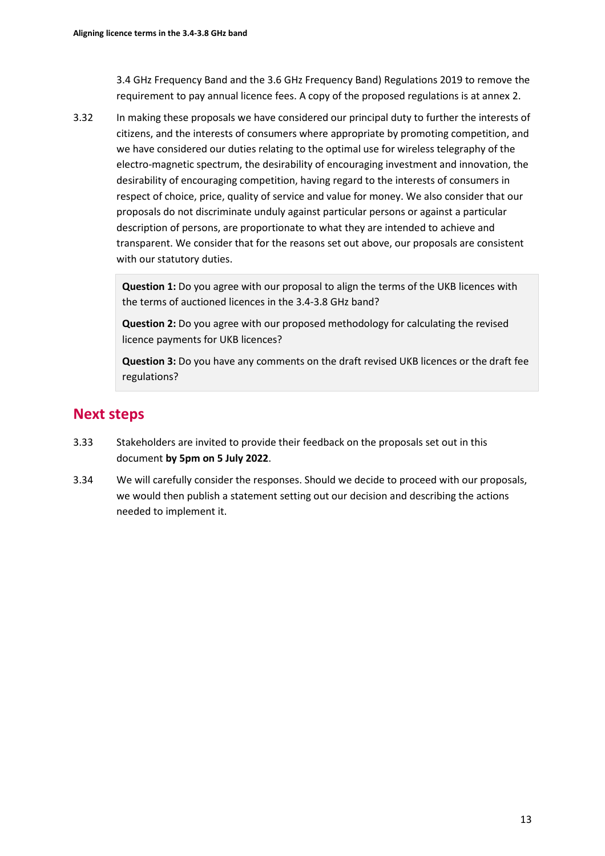3.4 GHz Frequency Band and the 3.6 GHz Frequency Band) Regulations 2019 to remove the requirement to pay annual licence fees. A copy of the proposed regulations is at annex 2.

3.32 In making these proposals we have considered our principal duty to further the interests of citizens, and the interests of consumers where appropriate by promoting competition, and we have considered our duties relating to the optimal use for wireless telegraphy of the electro-magnetic spectrum, the desirability of encouraging investment and innovation, the desirability of encouraging competition, having regard to the interests of consumers in respect of choice, price, quality of service and value for money. We also consider that our proposals do not discriminate unduly against particular persons or against a particular description of persons, are proportionate to what they are intended to achieve and transparent. We consider that for the reasons set out above, our proposals are consistent with our statutory duties.

> **Question 1:** Do you agree with our proposal to align the terms of the UKB licences with the terms of auctioned licences in the 3.4-3.8 GHz band?

**Question 2:** Do you agree with our proposed methodology for calculating the revised licence payments for UKB licences?

**Question 3:** Do you have any comments on the draft revised UKB licences or the draft fee regulations?

# **Next steps**

- 3.33 Stakeholders are invited to provide their feedback on the proposals set out in this document **by 5pm on 5 July 2022**.
- 3.34 We will carefully consider the responses. Should we decide to proceed with our proposals, we would then publish a statement setting out our decision and describing the actions needed to implement it.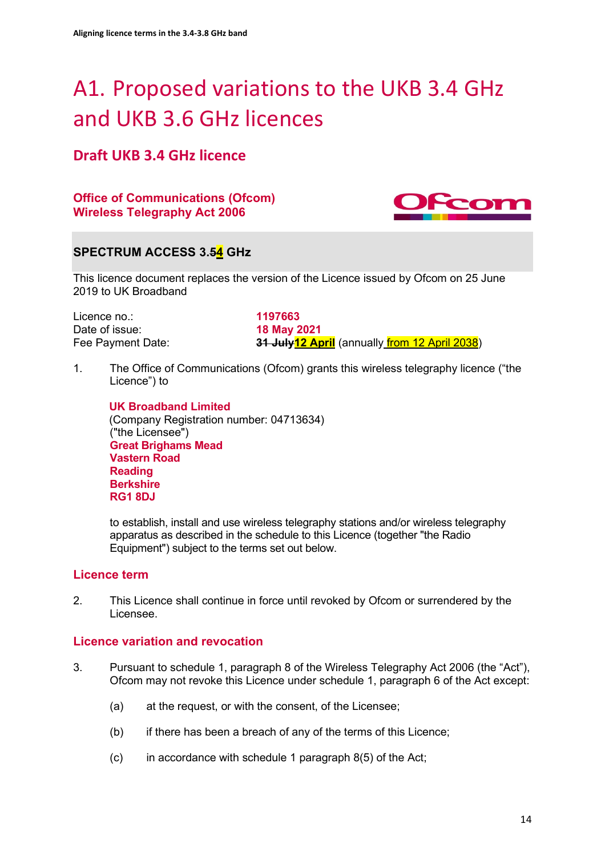# <span id="page-13-0"></span>A1. Proposed variations to the UKB 3.4 GHz and UKB 3.6 GHz licences

# **Draft UKB 3.4 GHz licence**

**Office of Communications (Ofcom) Wireless Telegraphy Act 2006**



# **SPECTRUM ACCESS 3.54 GHz**

This licence document replaces the version of the Licence issued by Ofcom on 25 June 2019 to UK Broadband

Licence no.: **1197663** Date of issue:<br>**Fee Payment Date:** 

**31 July<sup>12</sup> April** (annually *from 12 April 2038*)

1. The Office of Communications (Ofcom) grants this wireless telegraphy licence ("the Licence") to

**UK Broadband Limited** (Company Registration number: 04713634) ("the Licensee") **Great Brighams Mead Vastern Road Reading Berkshire RG1 8DJ**

to establish, install and use wireless telegraphy stations and/or wireless telegraphy apparatus as described in the schedule to this Licence (together "the Radio Equipment") subject to the terms set out below.

# **Licence term**

2. This Licence shall continue in force until revoked by Ofcom or surrendered by the Licensee.

# **Licence variation and revocation**

- 3. Pursuant to schedule 1, paragraph 8 of the Wireless Telegraphy Act 2006 (the "Act"), Ofcom may not revoke this Licence under schedule 1, paragraph 6 of the Act except:
	- (a) at the request, or with the consent, of the Licensee;
	- (b) if there has been a breach of any of the terms of this Licence;
	- (c) in accordance with schedule 1 paragraph 8(5) of the Act;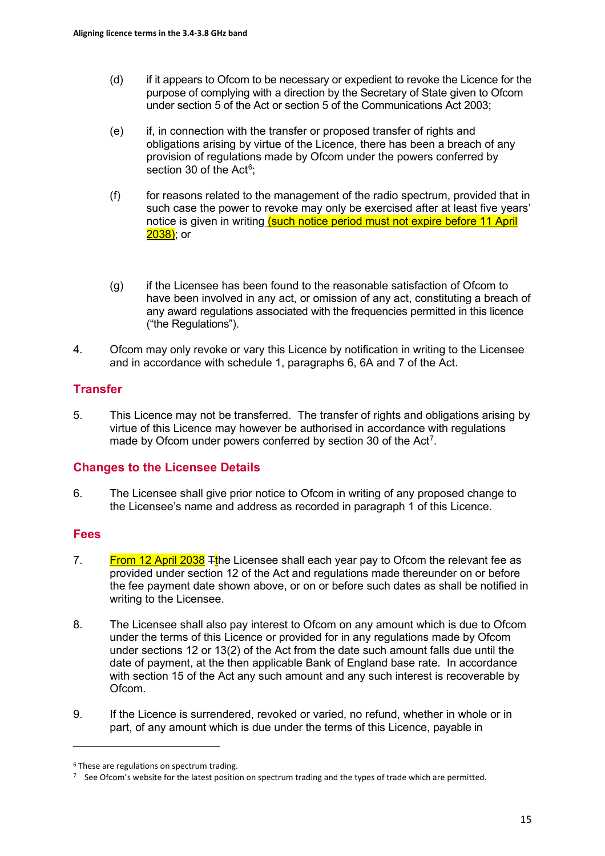- (d) if it appears to Ofcom to be necessary or expedient to revoke the Licence for the purpose of complying with a direction by the Secretary of State given to Ofcom under section 5 of the Act or section 5 of the Communications Act 2003;
- (e) if, in connection with the transfer or proposed transfer of rights and obligations arising by virtue of the Licence, there has been a breach of any provision of regulations made by Ofcom under the powers conferred by section 30 of the Act<sup>[6](#page-14-0)</sup>;
- (f) for reasons related to the management of the radio spectrum, provided that in such case the power to revoke may only be exercised after at least five years' notice is given in writing (such notice period must not expire before 11 April  $2038$ ); or
- (g) if the Licensee has been found to the reasonable satisfaction of Ofcom to have been involved in any act, or omission of any act, constituting a breach of any award regulations associated with the frequencies permitted in this licence ("the Regulations").
- 4. Ofcom may only revoke or vary this Licence by notification in writing to the Licensee and in accordance with schedule 1, paragraphs 6, 6A and 7 of the Act.

# **Transfer**

5. This Licence may not be transferred. The transfer of rights and obligations arising by virtue of this Licence may however be authorised in accordance with regulations made by Ofcom under powers conferred by section 30 of the Act<sup>[7](#page-14-1)</sup>.

## **Changes to the Licensee Details**

6. The Licensee shall give prior notice to Ofcom in writing of any proposed change to the Licensee's name and address as recorded in paragraph 1 of this Licence.

## **Fees**

- 7. **From 12 April 2038**  $\frac{1}{1}$ the Licensee shall each year pay to Ofcom the relevant fee as provided under section 12 of the Act and regulations made thereunder on or before the fee payment date shown above, or on or before such dates as shall be notified in writing to the Licensee.
- 8. The Licensee shall also pay interest to Ofcom on any amount which is due to Ofcom under the terms of this Licence or provided for in any regulations made by Ofcom under sections 12 or 13(2) of the Act from the date such amount falls due until the date of payment, at the then applicable Bank of England base rate. In accordance with section 15 of the Act any such amount and any such interest is recoverable by Ofcom.
- 9. If the Licence is surrendered, revoked or varied, no refund, whether in whole or in part, of any amount which is due under the terms of this Licence, payable in

<span id="page-14-0"></span><sup>6</sup> These are regulations on spectrum trading.

<span id="page-14-1"></span><sup>7</sup> See Ofcom's website for the latest position on spectrum trading and the types of trade which are permitted.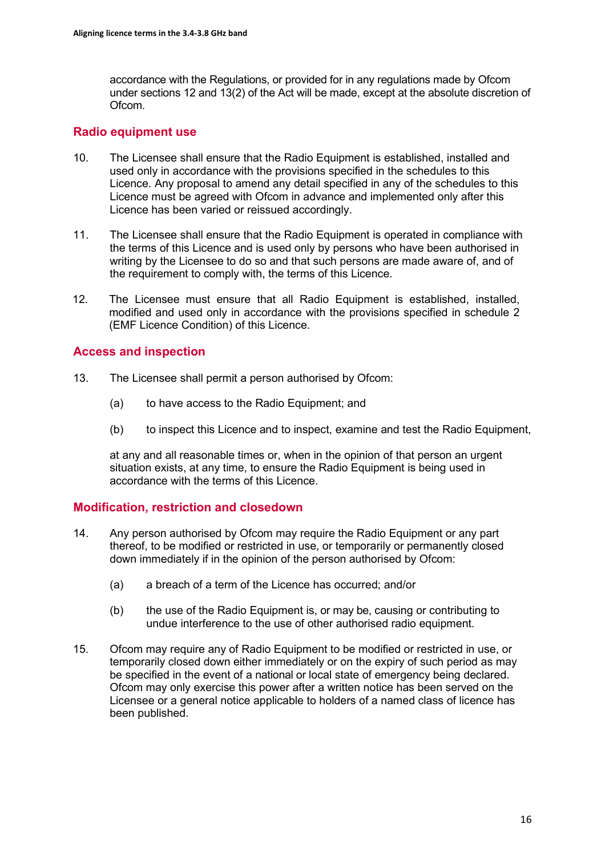accordance with the Regulations, or provided for in any regulations made by Ofcom under sections 12 and 13(2) of the Act will be made, except at the absolute discretion of Ofcom.

# **Radio equipment use**

- 10. The Licensee shall ensure that the Radio Equipment is established, installed and used only in accordance with the provisions specified in the schedules to this Licence. Any proposal to amend any detail specified in any of the schedules to this Licence must be agreed with Ofcom in advance and implemented only after this Licence has been varied or reissued accordingly.
- 11. The Licensee shall ensure that the Radio Equipment is operated in compliance with the terms of this Licence and is used only by persons who have been authorised in writing by the Licensee to do so and that such persons are made aware of, and of the requirement to comply with, the terms of this Licence.
- 12. The Licensee must ensure that all Radio Equipment is established, installed, modified and used only in accordance with the provisions specified in schedule 2 (EMF Licence Condition) of this Licence.

## **Access and inspection**

- 13. The Licensee shall permit a person authorised by Ofcom:
	- (a) to have access to the Radio Equipment; and
	- (b) to inspect this Licence and to inspect, examine and test the Radio Equipment,

at any and all reasonable times or, when in the opinion of that person an urgent situation exists, at any time, to ensure the Radio Equipment is being used in accordance with the terms of this Licence.

## **Modification, restriction and closedown**

- 14. Any person authorised by Ofcom may require the Radio Equipment or any part thereof, to be modified or restricted in use, or temporarily or permanently closed down immediately if in the opinion of the person authorised by Ofcom:
	- (a) a breach of a term of the Licence has occurred; and/or
	- (b) the use of the Radio Equipment is, or may be, causing or contributing to undue interference to the use of other authorised radio equipment.
- 15. Ofcom may require any of Radio Equipment to be modified or restricted in use, or temporarily closed down either immediately or on the expiry of such period as may be specified in the event of a national or local state of emergency being declared. Ofcom may only exercise this power after a written notice has been served on the Licensee or a general notice applicable to holders of a named class of licence has been published.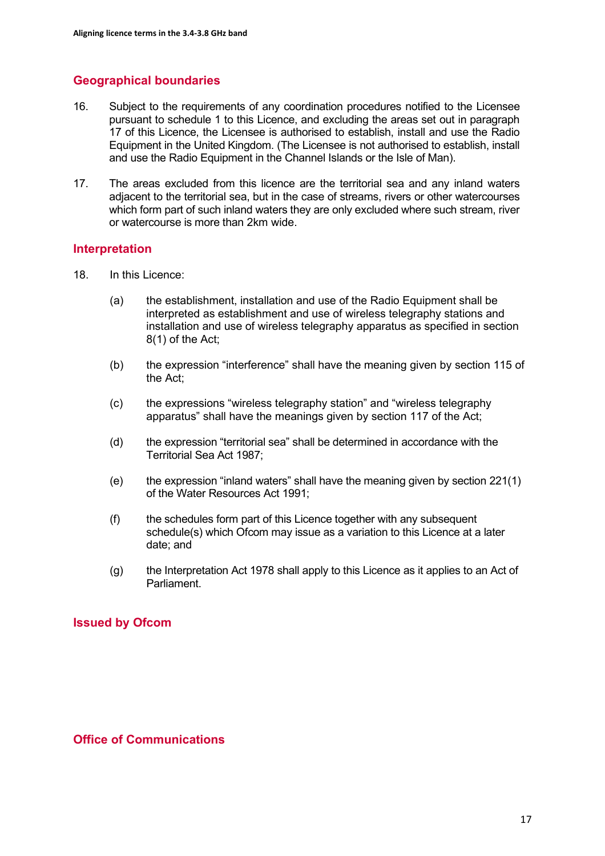# **Geographical boundaries**

- 16. Subject to the requirements of any coordination procedures notified to the Licensee pursuant to schedule 1 to this Licence, and excluding the areas set out in paragraph 17 of this Licence, the Licensee is authorised to establish, install and use the Radio Equipment in the United Kingdom. (The Licensee is not authorised to establish, install and use the Radio Equipment in the Channel Islands or the Isle of Man).
- 17. The areas excluded from this licence are the territorial sea and any inland waters adjacent to the territorial sea, but in the case of streams, rivers or other watercourses which form part of such inland waters they are only excluded where such stream, river or watercourse is more than 2km wide.

## **Interpretation**

- 18. In this Licence:
	- (a) the establishment, installation and use of the Radio Equipment shall be interpreted as establishment and use of wireless telegraphy stations and installation and use of wireless telegraphy apparatus as specified in section 8(1) of the Act;
	- (b) the expression "interference" shall have the meaning given by section 115 of the Act;
	- (c) the expressions "wireless telegraphy station" and "wireless telegraphy apparatus" shall have the meanings given by section 117 of the Act;
	- (d) the expression "territorial sea" shall be determined in accordance with the Territorial Sea Act 1987;
	- (e) the expression "inland waters" shall have the meaning given by section 221(1) of the Water Resources Act 1991;
	- (f) the schedules form part of this Licence together with any subsequent schedule(s) which Ofcom may issue as a variation to this Licence at a later date; and
	- (g) the Interpretation Act 1978 shall apply to this Licence as it applies to an Act of Parliament.

# **Issued by Ofcom**

## **Office of Communications**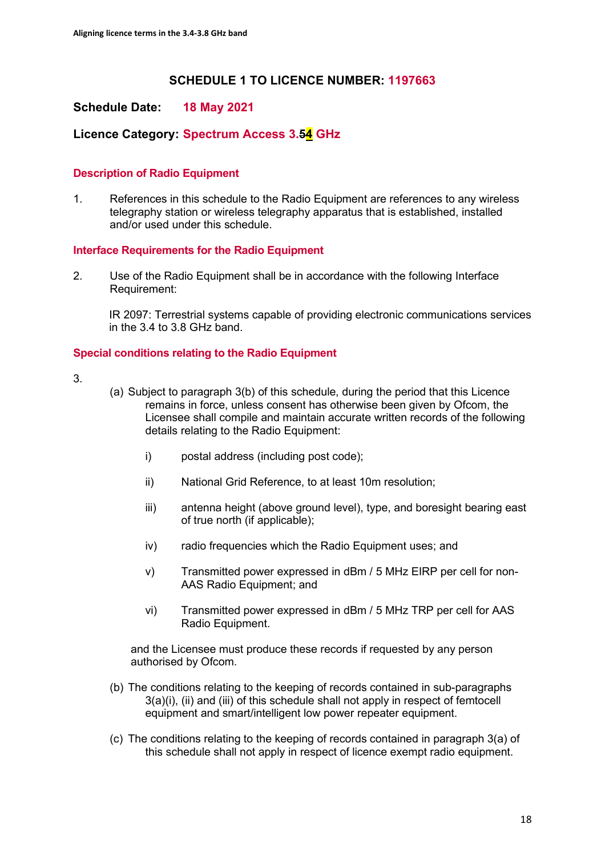# **SCHEDULE 1 TO LICENCE NUMBER: 1197663**

## **Schedule Date: 18 May 2021**

# **Licence Category: Spectrum Access 3.54 GHz**

#### **Description of Radio Equipment**

1. References in this schedule to the Radio Equipment are references to any wireless telegraphy station or wireless telegraphy apparatus that is established, installed and/or used under this schedule.

#### **Interface Requirements for the Radio Equipment**

2. Use of the Radio Equipment shall be in accordance with the following Interface Requirement:

IR 2097: Terrestrial systems capable of providing electronic communications services in the 3.4 to 3.8 GHz band.

#### **Special conditions relating to the Radio Equipment**

3.

- (a) Subject to paragraph 3(b) of this schedule, during the period that this Licence remains in force, unless consent has otherwise been given by Ofcom, the Licensee shall compile and maintain accurate written records of the following details relating to the Radio Equipment:
	- i) postal address (including post code);
	- ii) National Grid Reference, to at least 10m resolution;
	- iii) antenna height (above ground level), type, and boresight bearing east of true north (if applicable);
	- iv) radio frequencies which the Radio Equipment uses; and
	- v) Transmitted power expressed in dBm / 5 MHz EIRP per cell for non-AAS Radio Equipment; and
	- vi) Transmitted power expressed in dBm / 5 MHz TRP per cell for AAS Radio Equipment.

and the Licensee must produce these records if requested by any person authorised by Ofcom.

- (b) The conditions relating to the keeping of records contained in sub-paragraphs 3(a)(i), (ii) and (iii) of this schedule shall not apply in respect of femtocell equipment and smart/intelligent low power repeater equipment.
- (c) The conditions relating to the keeping of records contained in paragraph 3(a) of this schedule shall not apply in respect of licence exempt radio equipment.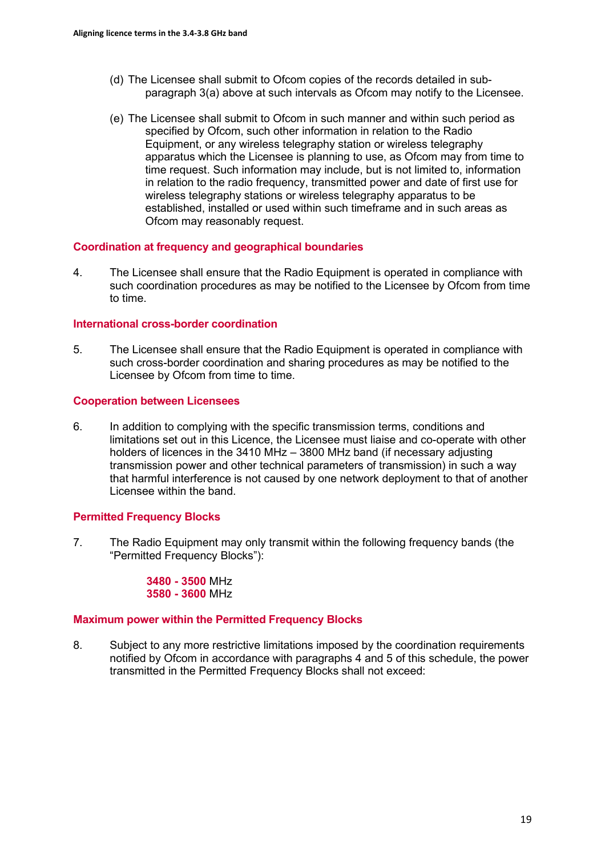- (d) The Licensee shall submit to Ofcom copies of the records detailed in subparagraph 3(a) above at such intervals as Ofcom may notify to the Licensee.
- (e) The Licensee shall submit to Ofcom in such manner and within such period as specified by Ofcom, such other information in relation to the Radio Equipment, or any wireless telegraphy station or wireless telegraphy apparatus which the Licensee is planning to use, as Ofcom may from time to time request. Such information may include, but is not limited to, information in relation to the radio frequency, transmitted power and date of first use for wireless telegraphy stations or wireless telegraphy apparatus to be established, installed or used within such timeframe and in such areas as Ofcom may reasonably request.

#### **Coordination at frequency and geographical boundaries**

4. The Licensee shall ensure that the Radio Equipment is operated in compliance with such coordination procedures as may be notified to the Licensee by Ofcom from time to time.

#### **International cross-border coordination**

5. The Licensee shall ensure that the Radio Equipment is operated in compliance with such cross-border coordination and sharing procedures as may be notified to the Licensee by Ofcom from time to time.

#### **Cooperation between Licensees**

6. In addition to complying with the specific transmission terms, conditions and limitations set out in this Licence, the Licensee must liaise and co-operate with other holders of licences in the 3410 MHz – 3800 MHz band (if necessary adjusting transmission power and other technical parameters of transmission) in such a way that harmful interference is not caused by one network deployment to that of another Licensee within the band.

#### **Permitted Frequency Blocks**

7. The Radio Equipment may only transmit within the following frequency bands (the "Permitted Frequency Blocks"):

#### **3480 - 3500** MHz **3580 - 3600** MHz

#### **Maximum power within the Permitted Frequency Blocks**

8. Subject to any more restrictive limitations imposed by the coordination requirements notified by Ofcom in accordance with paragraphs 4 and 5 of this schedule, the power transmitted in the Permitted Frequency Blocks shall not exceed: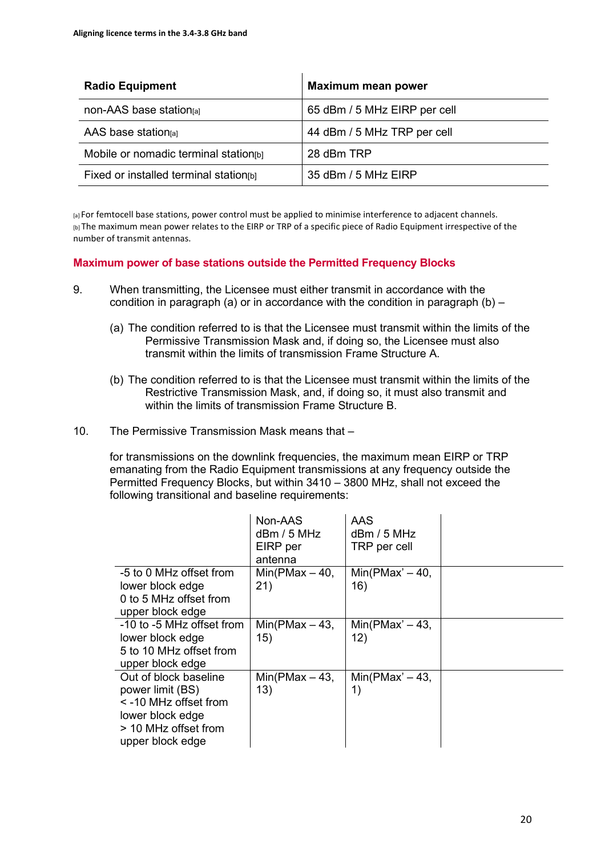| <b>Radio Equipment</b>                  | <b>Maximum mean power</b>    |
|-----------------------------------------|------------------------------|
| non-AAS base station[a]                 | 65 dBm / 5 MHz EIRP per cell |
| AAS base station $al$                   | 44 dBm / 5 MHz TRP per cell  |
| Mobile or nomadic terminal station[b]   | 28 dBm TRP                   |
| Fixed or installed terminal station [b] | 35 dBm / 5 MHz EIRP          |

[a] For femtocell base stations, power control must be applied to minimise interference to adjacent channels. [b] The maximum mean power relates to the EIRP or TRP of a specific piece of Radio Equipment irrespective of the number of transmit antennas.

#### **Maximum power of base stations outside the Permitted Frequency Blocks**

- 9. When transmitting, the Licensee must either transmit in accordance with the condition in paragraph (a) or in accordance with the condition in paragraph (b)  $-$ 
	- (a) The condition referred to is that the Licensee must transmit within the limits of the Permissive Transmission Mask and, if doing so, the Licensee must also transmit within the limits of transmission Frame Structure A.
	- (b) The condition referred to is that the Licensee must transmit within the limits of the Restrictive Transmission Mask, and, if doing so, it must also transmit and within the limits of transmission Frame Structure B.
- 10. The Permissive Transmission Mask means that –

for transmissions on the downlink frequencies, the maximum mean EIRP or TRP emanating from the Radio Equipment transmissions at any frequency outside the Permitted Frequency Blocks, but within 3410 – 3800 MHz, shall not exceed the following transitional and baseline requirements:

|                                                                                                                                        | Non-AAS<br>dBm / 5 MHz<br>EIRP per<br>antenna | <b>AAS</b><br>$d$ Bm / 5 MHz<br>TRP per cell |  |
|----------------------------------------------------------------------------------------------------------------------------------------|-----------------------------------------------|----------------------------------------------|--|
| -5 to 0 MHz offset from<br>lower block edge<br>0 to 5 MHz offset from<br>upper block edge                                              | Min(PMax $-40$ ,<br>21)                       | $Min(PMax' - 40,$<br>16)                     |  |
| -10 to -5 MHz offset from<br>lower block edge<br>5 to 10 MHz offset from<br>upper block edge                                           | Min(PMax $-43$ ,<br>15)                       | $Min(PMax' - 43,$<br>12)                     |  |
| Out of block baseline<br>power limit (BS)<br>$\le$ -10 MHz offset from<br>lower block edge<br>> 10 MHz offset from<br>upper block edge | $Min(PMax - 43,$<br>13)                       | $Min(PMax' - 43,$<br>1)                      |  |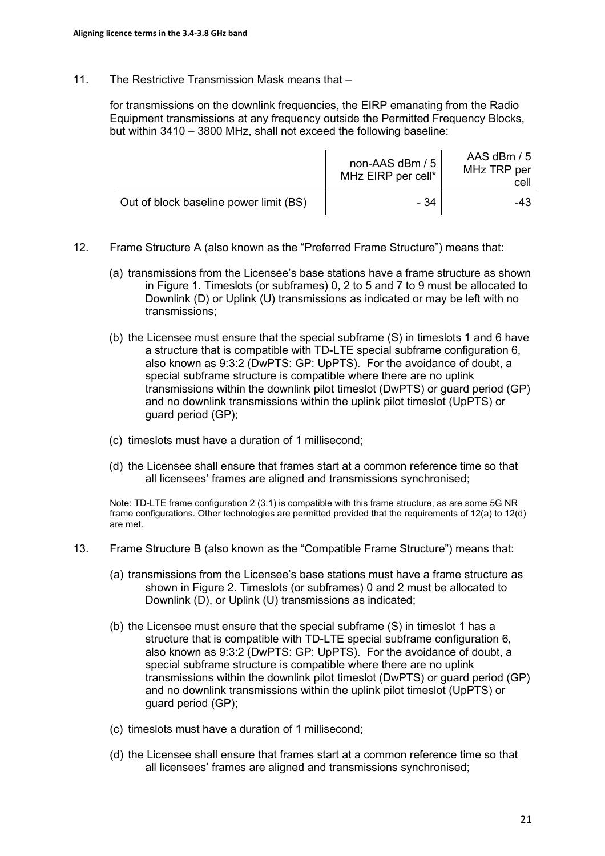11. The Restrictive Transmission Mask means that –

for transmissions on the downlink frequencies, the EIRP emanating from the Radio Equipment transmissions at any frequency outside the Permitted Frequency Blocks, but within 3410 – 3800 MHz, shall not exceed the following baseline:

|                                        | non-AAS dBm / 5<br>MHz EIRP per cell* | AAS dBm / 5<br>MHz TRP per<br>celi |
|----------------------------------------|---------------------------------------|------------------------------------|
| Out of block baseline power limit (BS) | - 34                                  | -43                                |

- 12. Frame Structure A (also known as the "Preferred Frame Structure") means that:
	- (a) transmissions from the Licensee's base stations have a frame structure as shown in Figure 1. Timeslots (or subframes) 0, 2 to 5 and 7 to 9 must be allocated to Downlink (D) or Uplink (U) transmissions as indicated or may be left with no transmissions;
	- (b) the Licensee must ensure that the special subframe (S) in timeslots 1 and 6 have a structure that is compatible with TD-LTE special subframe configuration 6, also known as 9:3:2 (DwPTS: GP: UpPTS). For the avoidance of doubt, a special subframe structure is compatible where there are no uplink transmissions within the downlink pilot timeslot (DwPTS) or guard period (GP) and no downlink transmissions within the uplink pilot timeslot (UpPTS) or guard period (GP);
	- (c) timeslots must have a duration of 1 millisecond;
	- (d) the Licensee shall ensure that frames start at a common reference time so that all licensees' frames are aligned and transmissions synchronised;

Note: TD-LTE frame configuration 2 (3:1) is compatible with this frame structure, as are some 5G NR frame configurations. Other technologies are permitted provided that the requirements of 12(a) to 12(d) are met.

- 13. Frame Structure B (also known as the "Compatible Frame Structure") means that:
	- (a) transmissions from the Licensee's base stations must have a frame structure as shown in Figure 2. Timeslots (or subframes) 0 and 2 must be allocated to Downlink (D), or Uplink (U) transmissions as indicated;
	- (b) the Licensee must ensure that the special subframe (S) in timeslot 1 has a structure that is compatible with TD-LTE special subframe configuration 6, also known as 9:3:2 (DwPTS: GP: UpPTS). For the avoidance of doubt, a special subframe structure is compatible where there are no uplink transmissions within the downlink pilot timeslot (DwPTS) or guard period (GP) and no downlink transmissions within the uplink pilot timeslot (UpPTS) or guard period (GP);
	- (c) timeslots must have a duration of 1 millisecond;
	- (d) the Licensee shall ensure that frames start at a common reference time so that all licensees' frames are aligned and transmissions synchronised;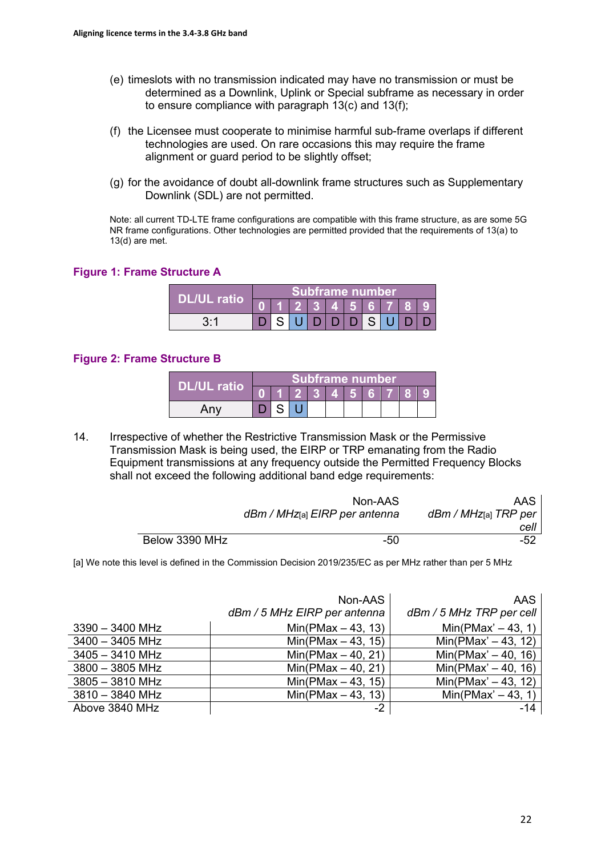- (e) timeslots with no transmission indicated may have no transmission or must be determined as a Downlink, Uplink or Special subframe as necessary in order to ensure compliance with paragraph 13(c) and 13(f);
- (f) the Licensee must cooperate to minimise harmful sub-frame overlaps if different technologies are used. On rare occasions this may require the frame alignment or guard period to be slightly offset;
- (g) for the avoidance of doubt all-downlink frame structures such as Supplementary Downlink (SDL) are not permitted.

Note: all current TD-LTE frame configurations are compatible with this frame structure, as are some 5G NR frame configurations. Other technologies are permitted provided that the requirements of 13(a) to 13(d) are met.

#### **Figure 1: Frame Structure A**

|                    | <b>Subframe number</b> |  |  |  |               |  |  |  |  |  |
|--------------------|------------------------|--|--|--|---------------|--|--|--|--|--|
| <b>DL/UL ratio</b> |                        |  |  |  | 2 3 4 5 6 7 8 |  |  |  |  |  |
| 2.1                |                        |  |  |  |               |  |  |  |  |  |

#### **Figure 2: Frame Structure B**

| <b>DL/UL ratio</b> | Subframe number |  |  |  |               |  |  |  |  |  |
|--------------------|-----------------|--|--|--|---------------|--|--|--|--|--|
|                    |                 |  |  |  | $2$ 3 4 5 6 7 |  |  |  |  |  |
| Any                |                 |  |  |  |               |  |  |  |  |  |

14. Irrespective of whether the Restrictive Transmission Mask or the Permissive Transmission Mask is being used, the EIRP or TRP emanating from the Radio Equipment transmissions at any frequency outside the Permitted Frequency Blocks shall not exceed the following additional band edge requirements:

|                | Non-AAS<br>dBm / MHz[a] EIRP per antenna | AAS<br>dBm / MHzേa] TRP per |
|----------------|------------------------------------------|-----------------------------|
|                |                                          | cell                        |
| Below 3390 MHz | -50                                      | $-52$                       |

[a] We note this level is defined in the Commission Decision 2019/235/EC as per MHz rather than per 5 MHz

|                   | Non-AAS<br>dBm / 5 MHz EIRP per antenna | AAS<br>dBm / 5 MHz TRP per cell |
|-------------------|-----------------------------------------|---------------------------------|
| $3390 - 3400$ MHz | $Min(PMax - 43, 13)$                    | $Min(PMax' - 43, 1)$            |
| $3400 - 3405$ MHz | $Min(PMax - 43, 15)$                    | $Min(PMax' - 43, 12)$           |
| $3405 - 3410$ MHz | $Min(PMax - 40, 21)$                    | $Min(PMax' - 40, 16)$           |
| $3800 - 3805$ MHz | $Min(PMax - 40, 21)$                    | $Min(PMax' - 40, 16)$           |
| $3805 - 3810$ MHz | $Min(PMax - 43, 15)$                    | $Min(PMax' - 43, 12)$           |
| $3810 - 3840$ MHz | $Min(PMax - 43, 13)$                    | $Min(PMax' - 43, 1)$            |
| Above 3840 MHz    | $-2$                                    | -14                             |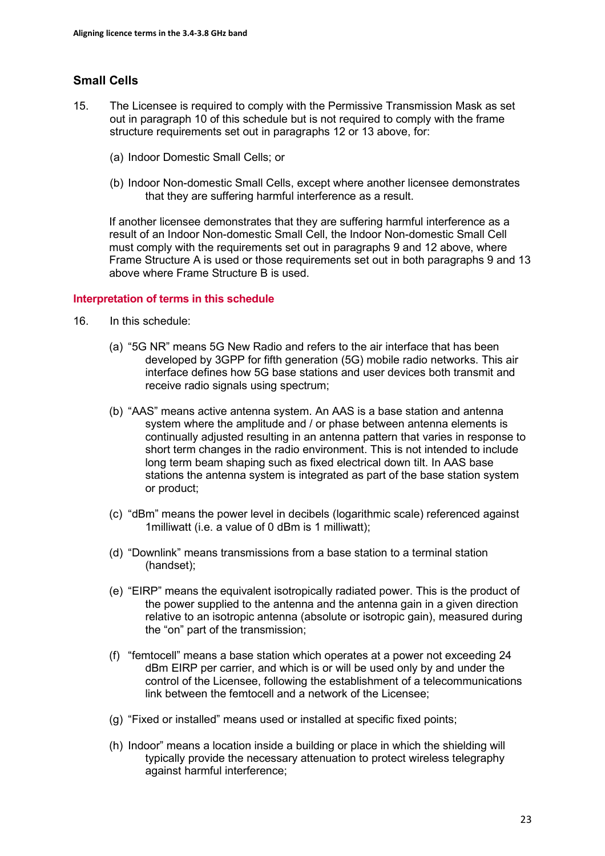# **Small Cells**

- 15. The Licensee is required to comply with the Permissive Transmission Mask as set out in paragraph 10 of this schedule but is not required to comply with the frame structure requirements set out in paragraphs 12 or 13 above, for:
	- (a) Indoor Domestic Small Cells; or
	- (b) Indoor Non-domestic Small Cells, except where another licensee demonstrates that they are suffering harmful interference as a result.

If another licensee demonstrates that they are suffering harmful interference as a result of an Indoor Non-domestic Small Cell, the Indoor Non-domestic Small Cell must comply with the requirements set out in paragraphs 9 and 12 above, where Frame Structure A is used or those requirements set out in both paragraphs 9 and 13 above where Frame Structure B is used.

#### **Interpretation of terms in this schedule**

- 16. In this schedule:
	- (a) "5G NR" means 5G New Radio and refers to the air interface that has been developed by 3GPP for fifth generation (5G) mobile radio networks. This air interface defines how 5G base stations and user devices both transmit and receive radio signals using spectrum;
	- (b) "AAS" means active antenna system. An AAS is a base station and antenna system where the amplitude and / or phase between antenna elements is continually adjusted resulting in an antenna pattern that varies in response to short term changes in the radio environment. This is not intended to include long term beam shaping such as fixed electrical down tilt. In AAS base stations the antenna system is integrated as part of the base station system or product;
	- (c) "dBm" means the power level in decibels (logarithmic scale) referenced against 1milliwatt (i.e. a value of 0 dBm is 1 milliwatt);
	- (d) "Downlink" means transmissions from a base station to a terminal station (handset);
	- (e) "EIRP" means the equivalent isotropically radiated power. This is the product of the power supplied to the antenna and the antenna gain in a given direction relative to an isotropic antenna (absolute or isotropic gain), measured during the "on" part of the transmission;
	- (f) "femtocell" means a base station which operates at a power not exceeding 24 dBm EIRP per carrier, and which is or will be used only by and under the control of the Licensee, following the establishment of a telecommunications link between the femtocell and a network of the Licensee;
	- (g) "Fixed or installed" means used or installed at specific fixed points;
	- (h) Indoor" means a location inside a building or place in which the shielding will typically provide the necessary attenuation to protect wireless telegraphy against harmful interference;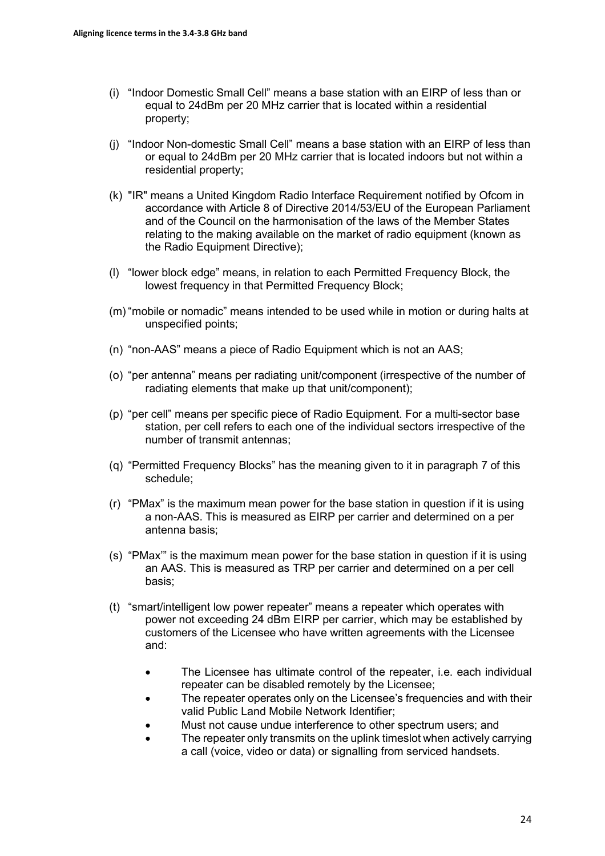- (i) "Indoor Domestic Small Cell" means a base station with an EIRP of less than or equal to 24dBm per 20 MHz carrier that is located within a residential property;
- (j) "Indoor Non-domestic Small Cell" means a base station with an EIRP of less than or equal to 24dBm per 20 MHz carrier that is located indoors but not within a residential property;
- (k) "IR" means a United Kingdom Radio Interface Requirement notified by Ofcom in accordance with Article 8 of Directive 2014/53/EU of the European Parliament and of the Council on the harmonisation of the laws of the Member States relating to the making available on the market of radio equipment (known as the Radio Equipment Directive);
- (l) "lower block edge" means, in relation to each Permitted Frequency Block, the lowest frequency in that Permitted Frequency Block;
- (m) "mobile or nomadic" means intended to be used while in motion or during halts at unspecified points;
- (n) "non-AAS" means a piece of Radio Equipment which is not an AAS;
- (o) "per antenna" means per radiating unit/component (irrespective of the number of radiating elements that make up that unit/component);
- (p) "per cell" means per specific piece of Radio Equipment. For a multi-sector base station, per cell refers to each one of the individual sectors irrespective of the number of transmit antennas;
- (q) "Permitted Frequency Blocks" has the meaning given to it in paragraph 7 of this schedule;
- (r) "PMax" is the maximum mean power for the base station in question if it is using a non-AAS. This is measured as EIRP per carrier and determined on a per antenna basis;
- (s) "PMax'" is the maximum mean power for the base station in question if it is using an AAS. This is measured as TRP per carrier and determined on a per cell basis;
- (t) "smart/intelligent low power repeater" means a repeater which operates with power not exceeding 24 dBm EIRP per carrier, which may be established by customers of the Licensee who have written agreements with the Licensee and:
	- The Licensee has ultimate control of the repeater, i.e. each individual repeater can be disabled remotely by the Licensee;
	- The repeater operates only on the Licensee's frequencies and with their valid Public Land Mobile Network Identifier;
	- Must not cause undue interference to other spectrum users; and
	- The repeater only transmits on the uplink timeslot when actively carrying a call (voice, video or data) or signalling from serviced handsets.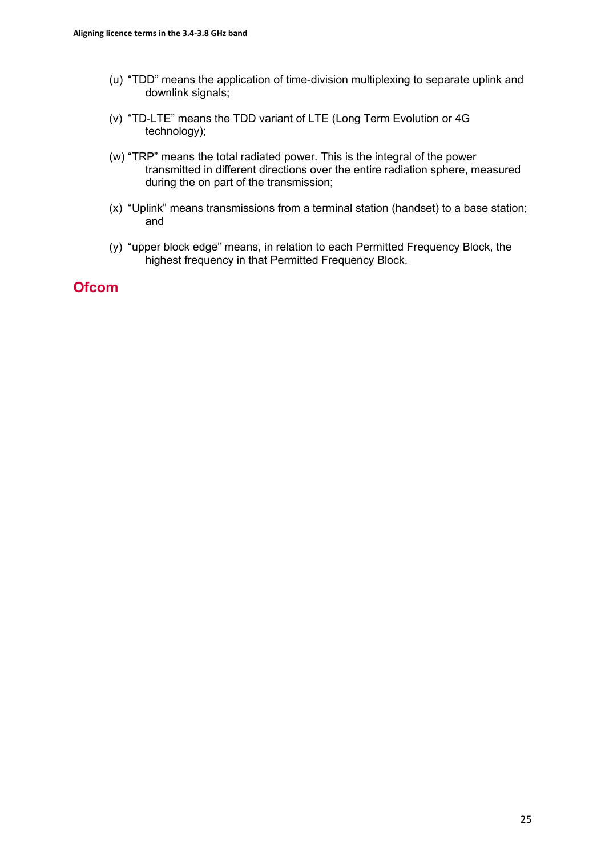- (u) "TDD" means the application of time-division multiplexing to separate uplink and downlink signals;
- (v) "TD-LTE" means the TDD variant of LTE (Long Term Evolution or 4G technology);
- (w) "TRP" means the total radiated power. This is the integral of the power transmitted in different directions over the entire radiation sphere, measured during the on part of the transmission;
- (x) "Uplink" means transmissions from a terminal station (handset) to a base station; and
- (y) "upper block edge" means, in relation to each Permitted Frequency Block, the highest frequency in that Permitted Frequency Block.

# **Ofcom**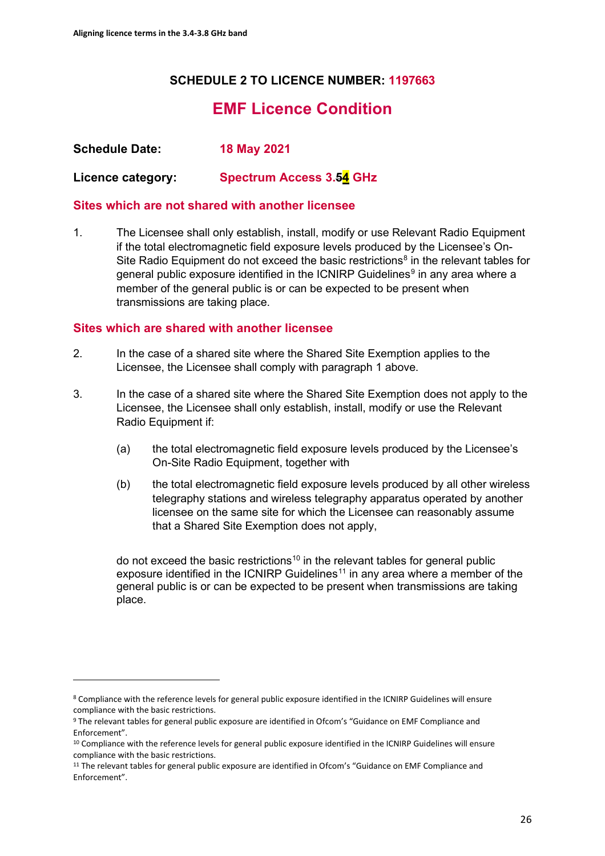# **SCHEDULE 2 TO LICENCE NUMBER: 1197663**

# **EMF Licence Condition**

**Schedule Date: 18 May 2021**

**Licence category: Spectrum Access 3.54 GHz**

## **Sites which are not shared with another licensee**

1. The Licensee shall only establish, install, modify or use Relevant Radio Equipment if the total electromagnetic field exposure levels produced by the Licensee's On-Site Radio Equipment do not exceed the basic restrictions<sup>[8](#page-25-0)</sup> in the relevant tables for general public exposure identified in the ICNIRP Guidelines<sup>[9](#page-25-1)</sup> in any area where a member of the general public is or can be expected to be present when transmissions are taking place.

# **Sites which are shared with another licensee**

- 2. In the case of a shared site where the Shared Site Exemption applies to the Licensee, the Licensee shall comply with paragraph 1 above.
- 3. In the case of a shared site where the Shared Site Exemption does not apply to the Licensee, the Licensee shall only establish, install, modify or use the Relevant Radio Equipment if:
	- (a) the total electromagnetic field exposure levels produced by the Licensee's On-Site Radio Equipment, together with
	- (b) the total electromagnetic field exposure levels produced by all other wireless telegraphy stations and wireless telegraphy apparatus operated by another licensee on the same site for which the Licensee can reasonably assume that a Shared Site Exemption does not apply,

do not exceed the basic restrictions<sup>[10](#page-25-2)</sup> in the relevant tables for general public exposure identified in the ICNIRP Guidelines<sup>[11](#page-25-3)</sup> in any area where a member of the general public is or can be expected to be present when transmissions are taking place.

<span id="page-25-0"></span><sup>8</sup> Compliance with the reference levels for general public exposure identified in the ICNIRP Guidelines will ensure compliance with the basic restrictions.<br><sup>9</sup> The relevant tables for general public exposure are identified in Ofcom's "Guidance on EMF Compliance and

<span id="page-25-1"></span>Enforcement".

<span id="page-25-2"></span><sup>&</sup>lt;sup>10</sup> Compliance with the reference levels for general public exposure identified in the ICNIRP Guidelines will ensure compliance with the basic restrictions.<br><sup>11</sup> The relevant tables for general public exposure are identified in Ofcom's "Guidance on EMF Compliance and

<span id="page-25-3"></span>Enforcement".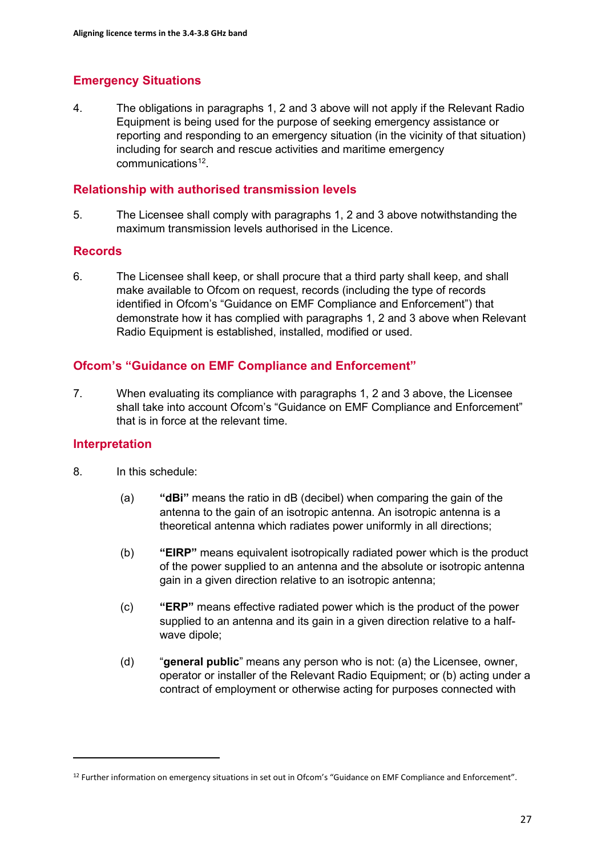# **Emergency Situations**

4. The obligations in paragraphs 1, 2 and 3 above will not apply if the Relevant Radio Equipment is being used for the purpose of seeking emergency assistance or reporting and responding to an emergency situation (in the vicinity of that situation) including for search and rescue activities and maritime emergency communications<sup>[12](#page-26-0)</sup>

# **Relationship with authorised transmission levels**

5. The Licensee shall comply with paragraphs 1, 2 and 3 above notwithstanding the maximum transmission levels authorised in the Licence.

## **Records**

6. The Licensee shall keep, or shall procure that a third party shall keep, and shall make available to Ofcom on request, records (including the type of records identified in Ofcom's "Guidance on EMF Compliance and Enforcement") that demonstrate how it has complied with paragraphs 1, 2 and 3 above when Relevant Radio Equipment is established, installed, modified or used.

# **Ofcom's "Guidance on EMF Compliance and Enforcement"**

7. When evaluating its compliance with paragraphs 1, 2 and 3 above, the Licensee shall take into account Ofcom's "Guidance on EMF Compliance and Enforcement" that is in force at the relevant time.

## **Interpretation**

- 8. In this schedule:
	- (a) **"dBi"** means the ratio in dB (decibel) when comparing the gain of the antenna to the gain of an isotropic antenna. An isotropic antenna is a theoretical antenna which radiates power uniformly in all directions;
	- (b) **"EIRP"** means equivalent isotropically radiated power which is the product of the power supplied to an antenna and the absolute or isotropic antenna gain in a given direction relative to an isotropic antenna;
	- (c) **"ERP"** means effective radiated power which is the product of the power supplied to an antenna and its gain in a given direction relative to a halfwave dipole;
	- (d) "**general public**" means any person who is not: (a) the Licensee, owner, operator or installer of the Relevant Radio Equipment; or (b) acting under a contract of employment or otherwise acting for purposes connected with

<span id="page-26-0"></span><sup>&</sup>lt;sup>12</sup> Further information on emergency situations in set out in Ofcom's "Guidance on EMF Compliance and Enforcement".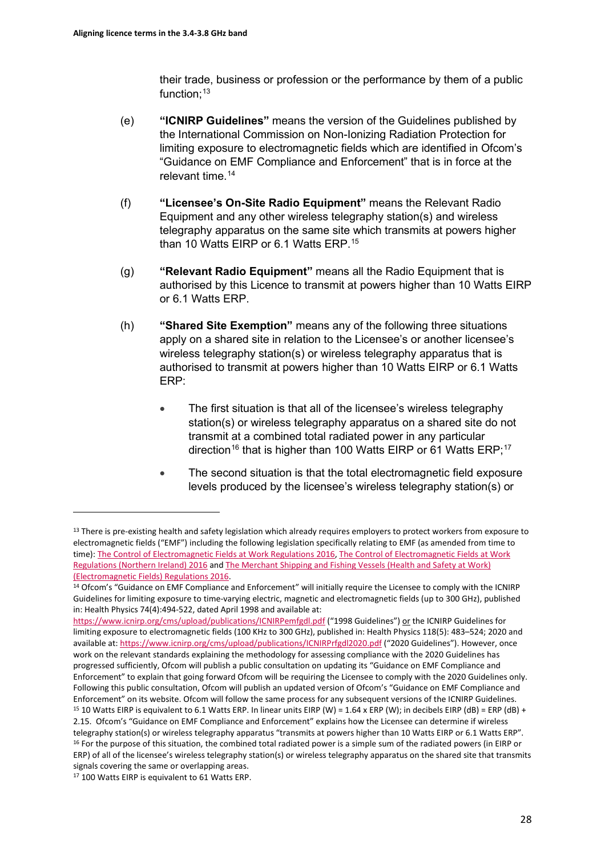their trade, business or profession or the performance by them of a public function; $13$ 

- (e) **"ICNIRP Guidelines"** means the version of the Guidelines published by the International Commission on Non-Ionizing Radiation Protection for limiting exposure to electromagnetic fields which are identified in Ofcom's "Guidance on EMF Compliance and Enforcement" that is in force at the relevant time. [14](#page-27-1)
- (f) **"Licensee's On-Site Radio Equipment"** means the Relevant Radio Equipment and any other wireless telegraphy station(s) and wireless telegraphy apparatus on the same site which transmits at powers higher than 10 Watts EIRP or 6.1 Watts ERP.[15](#page-27-2)
- (g) **"Relevant Radio Equipment"** means all the Radio Equipment that is authorised by this Licence to transmit at powers higher than 10 Watts EIRP or 6.1 Watts ERP.
- (h) **"Shared Site Exemption"** means any of the following three situations apply on a shared site in relation to the Licensee's or another licensee's wireless telegraphy station(s) or wireless telegraphy apparatus that is authorised to transmit at powers higher than 10 Watts EIRP or 6.1 Watts ERP:
	- The first situation is that all of the licensee's wireless telegraphy station(s) or wireless telegraphy apparatus on a shared site do not transmit at a combined total radiated power in any particular direction<sup>[16](#page-27-3)</sup> that is higher than 100 Watts EIRP or 61 Watts ERP;<sup>17</sup>
	- The second situation is that the total electromagnetic field exposure levels produced by the licensee's wireless telegraphy station(s) or

<span id="page-27-0"></span><sup>&</sup>lt;sup>13</sup> There is pre-existing health and safety legislation which already requires employers to protect workers from exposure to electromagnetic fields ("EMF") including the following legislation specifically relating to EMF (as amended from time to time): [The Control of Electromagnetic Fields at Work Regulations 2016,](https://www.legislation.gov.uk/uksi/2016/588/pdfs/uksi_20160588_en.pdf) The Control of Electromagnetic Fields at Work [Regulations \(Northern Ireland\) 2016](https://www.legislation.gov.uk/nisr/2016/266/contents/made) and [The Merchant Shipping and Fishing Vessels \(Health and Safety at Work\)](https://www.legislation.gov.uk/uksi/2016/1026/contents/made)  [\(Electromagnetic Fields\) Regulations 2016.](https://www.legislation.gov.uk/uksi/2016/1026/contents/made)<br><sup>14</sup> Ofcom's "Guidance on EMF Compliance and Enforcement" will initially require the Licensee to comply with the ICNIRP

<span id="page-27-1"></span>Guidelines for limiting exposure to time-varying electric, magnetic and electromagnetic fields (up to 300 GHz), published in: Health Physics 74(4):494-522, dated April 1998 and available at:

<https://www.icnirp.org/cms/upload/publications/ICNIRPemfgdl.pdf> ("1998 Guidelines") or the ICNIRP Guidelines for limiting exposure to electromagnetic fields (100 KHz to 300 GHz), published in: Health Physics 118(5): 483–524; 2020 and available at[: https://www.icnirp.org/cms/upload/publications/ICNIRPrfgdl2020.pdf](https://www.icnirp.org/cms/upload/publications/ICNIRPrfgdl2020.pdf) ("2020 Guidelines"). However, once work on the relevant standards explaining the methodology for assessing compliance with the 2020 Guidelines has progressed sufficiently, Ofcom will publish a public consultation on updating its "Guidance on EMF Compliance and Enforcement" to explain that going forward Ofcom will be requiring the Licensee to comply with the 2020 Guidelines only. Following this public consultation, Ofcom will publish an updated version of Ofcom's "Guidance on EMF Compliance and Enforcement" on its website. Ofcom will follow the same process for any subsequent versions of the ICNIRP Guidelines.<br><sup>15</sup> 10 Watts EIRP is equivalent to 6.1 Watts ERP. In linear units EIRP (W) = 1.64 x ERP (W); in decibe 2.15. Ofcom's "Guidance on EMF Compliance and Enforcement" explains how the Licensee can determine if wireless telegraphy station(s) or wireless telegraphy apparatus "transmits at powers higher than 10 Watts EIRP or 6.1 Watts ERP".<br><sup>16</sup> For the purpose of this situation, the combined total radiated power is a simple sum of the radi ERP) of all of the licensee's wireless telegraphy station(s) or wireless telegraphy apparatus on the shared site that transmits signals covering the same or overlapping areas.

<span id="page-27-4"></span><span id="page-27-3"></span><span id="page-27-2"></span><sup>17</sup> 100 Watts EIRP is equivalent to 61 Watts ERP.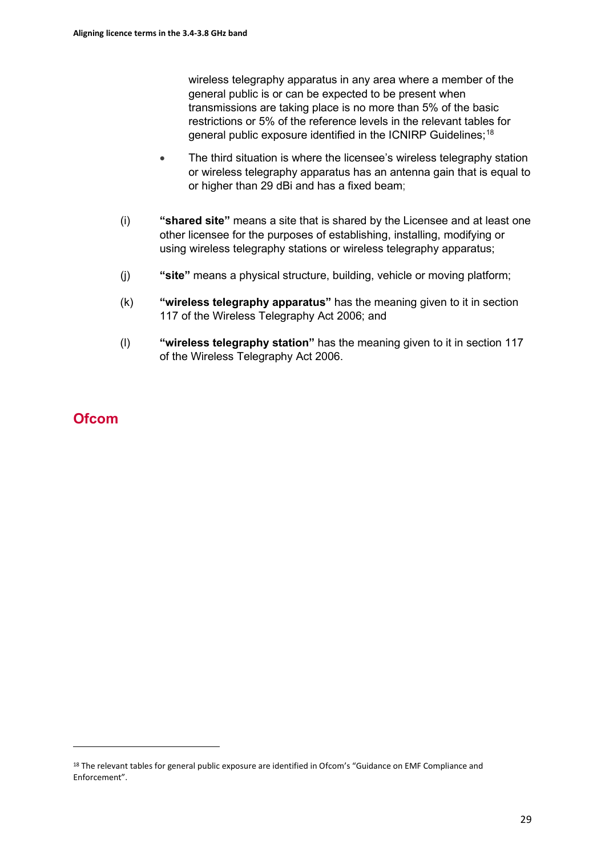wireless telegraphy apparatus in any area where a member of the general public is or can be expected to be present when transmissions are taking place is no more than 5% of the basic restrictions or 5% of the reference levels in the relevant tables for general public exposure identified in the ICNIRP Guidelines;<sup>[18](#page-28-0)</sup>

- The third situation is where the licensee's wireless telegraphy station or wireless telegraphy apparatus has an antenna gain that is equal to or higher than 29 dBi and has a fixed beam;
- (i) **"shared site"** means a site that is shared by the Licensee and at least one other licensee for the purposes of establishing, installing, modifying or using wireless telegraphy stations or wireless telegraphy apparatus;
- (j) **"site"** means a physical structure, building, vehicle or moving platform;
- (k) **"wireless telegraphy apparatus"** has the meaning given to it in section 117 of the Wireless Telegraphy Act 2006; and
- (l) **"wireless telegraphy station"** has the meaning given to it in section 117 of the Wireless Telegraphy Act 2006.

# **Ofcom**

<span id="page-28-0"></span><sup>&</sup>lt;sup>18</sup> The relevant tables for general public exposure are identified in Ofcom's "Guidance on EMF Compliance and Enforcement".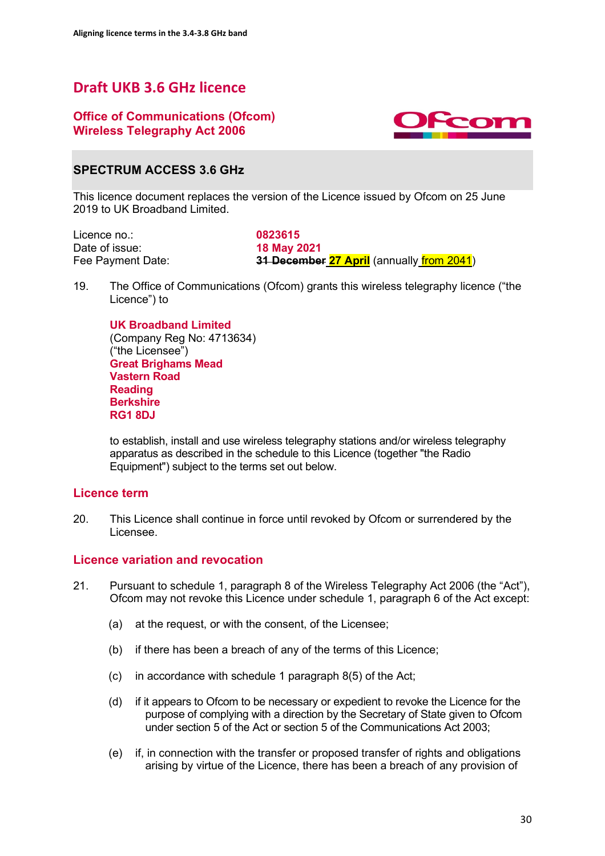# **Draft UKB 3.6 GHz licence**

# **Office of Communications (Ofcom) Wireless Telegraphy Act 2006**



# **SPECTRUM ACCESS 3.6 GHz**

This licence document replaces the version of the Licence issued by Ofcom on 25 June 2019 to UK Broadband Limited.

Licence no.: **0823615**<br>Date of issue: **18 May 2** Date of issue: **18 May 2021**<br>
Fee Payment Date: **1999**<br> **18 Decembe** 

**31 December 27 April** (annually *from 2041*)

19. The Office of Communications (Ofcom) grants this wireless telegraphy licence ("the Licence") to

**UK Broadband Limited** (Company Reg No: 4713634) ("the Licensee") **Great Brighams Mead Vastern Road Reading Berkshire RG1 8DJ**

to establish, install and use wireless telegraphy stations and/or wireless telegraphy apparatus as described in the schedule to this Licence (together "the Radio Equipment") subject to the terms set out below.

## **Licence term**

20. This Licence shall continue in force until revoked by Ofcom or surrendered by the Licensee.

## **Licence variation and revocation**

- 21. Pursuant to schedule 1, paragraph 8 of the Wireless Telegraphy Act 2006 (the "Act"), Ofcom may not revoke this Licence under schedule 1, paragraph 6 of the Act except:
	- (a) at the request, or with the consent, of the Licensee;
	- (b) if there has been a breach of any of the terms of this Licence;
	- (c) in accordance with schedule 1 paragraph 8(5) of the Act;
	- (d) if it appears to Ofcom to be necessary or expedient to revoke the Licence for the purpose of complying with a direction by the Secretary of State given to Ofcom under section 5 of the Act or section 5 of the Communications Act 2003;
	- (e) if, in connection with the transfer or proposed transfer of rights and obligations arising by virtue of the Licence, there has been a breach of any provision of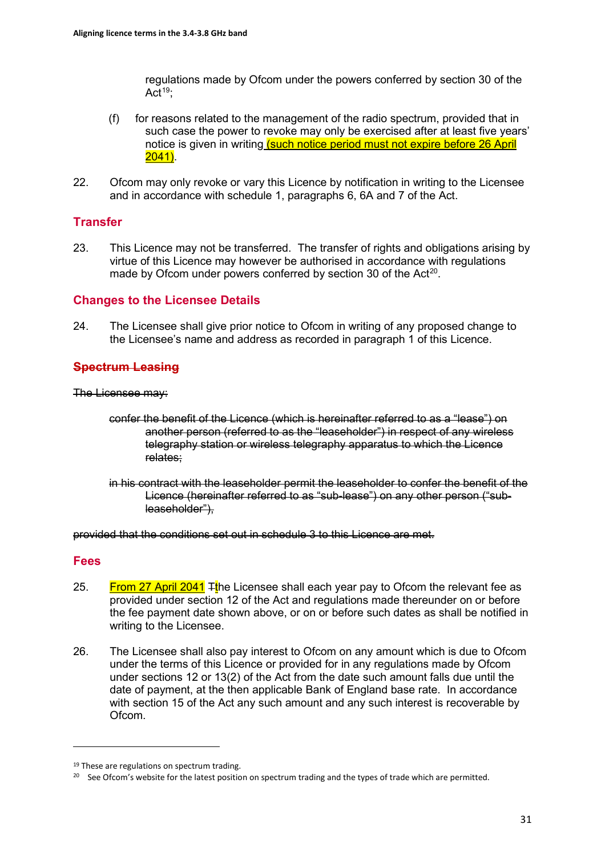regulations made by Ofcom under the powers conferred by section 30 of the Act<sup>[19](#page-30-0)</sup>;

- (f) for reasons related to the management of the radio spectrum, provided that in such case the power to revoke may only be exercised after at least five years' notice is given in writing (such notice period must not expire before 26 April 2041).
- 22. Ofcom may only revoke or vary this Licence by notification in writing to the Licensee and in accordance with schedule 1, paragraphs 6, 6A and 7 of the Act.

# **Transfer**

23. This Licence may not be transferred. The transfer of rights and obligations arising by virtue of this Licence may however be authorised in accordance with regulations made by Ofcom under powers conferred by section 30 of the Act<sup>[20](#page-30-1)</sup>.

## **Changes to the Licensee Details**

24. The Licensee shall give prior notice to Ofcom in writing of any proposed change to the Licensee's name and address as recorded in paragraph 1 of this Licence.

# **Spectrum Leasing**

The Licensee may:

- confer the benefit of the Licence (which is hereinafter referred to as a "lease") on another person (referred to as the "leaseholder") in respect of any wireless telegraphy station or wireless telegraphy apparatus to which the Licence relates;
- in his contract with the leaseholder permit the leaseholder to confer the benefit of the Licence (hereinafter referred to as "sub-lease") on any other person ("subleaseholder"),

provided that the conditions set out in schedule 3 to this Licence are met.

## **Fees**

- 25. From 27 April 2041  $\frac{1}{2}$ the Licensee shall each year pay to Ofcom the relevant fee as provided under section 12 of the Act and regulations made thereunder on or before the fee payment date shown above, or on or before such dates as shall be notified in writing to the Licensee.
- 26. The Licensee shall also pay interest to Ofcom on any amount which is due to Ofcom under the terms of this Licence or provided for in any regulations made by Ofcom under sections 12 or 13(2) of the Act from the date such amount falls due until the date of payment, at the then applicable Bank of England base rate. In accordance with section 15 of the Act any such amount and any such interest is recoverable by Ofcom.

<span id="page-30-0"></span><sup>&</sup>lt;sup>19</sup> These are regulations on spectrum trading.

<span id="page-30-1"></span><sup>&</sup>lt;sup>20</sup> See Ofcom's website for the latest position on spectrum trading and the types of trade which are permitted.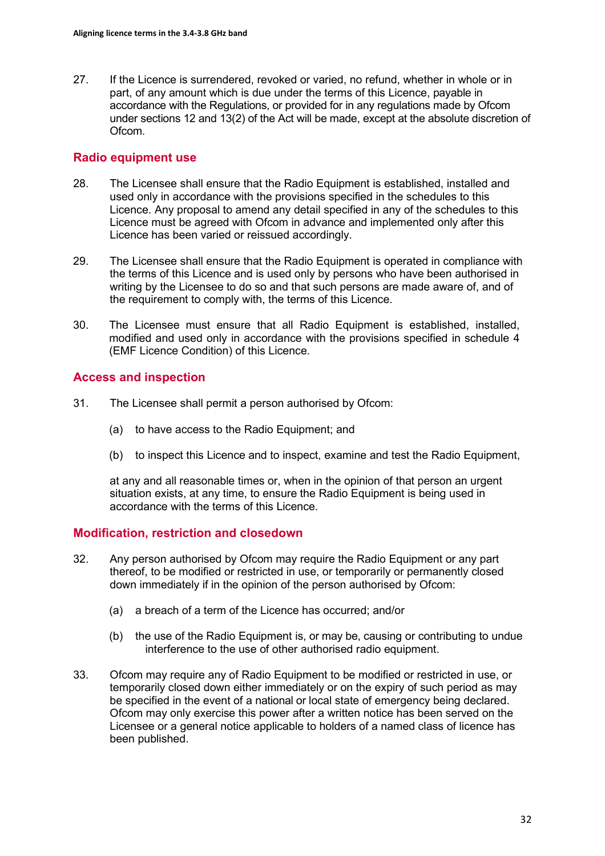27. If the Licence is surrendered, revoked or varied, no refund, whether in whole or in part, of any amount which is due under the terms of this Licence, payable in accordance with the Regulations, or provided for in any regulations made by Ofcom under sections 12 and 13(2) of the Act will be made, except at the absolute discretion of Ofcom.

### **Radio equipment use**

- 28. The Licensee shall ensure that the Radio Equipment is established, installed and used only in accordance with the provisions specified in the schedules to this Licence. Any proposal to amend any detail specified in any of the schedules to this Licence must be agreed with Ofcom in advance and implemented only after this Licence has been varied or reissued accordingly.
- 29. The Licensee shall ensure that the Radio Equipment is operated in compliance with the terms of this Licence and is used only by persons who have been authorised in writing by the Licensee to do so and that such persons are made aware of, and of the requirement to comply with, the terms of this Licence.
- 30. The Licensee must ensure that all Radio Equipment is established, installed, modified and used only in accordance with the provisions specified in schedule 4 (EMF Licence Condition) of this Licence.

## **Access and inspection**

- 31. The Licensee shall permit a person authorised by Ofcom:
	- (a) to have access to the Radio Equipment; and
	- (b) to inspect this Licence and to inspect, examine and test the Radio Equipment,

at any and all reasonable times or, when in the opinion of that person an urgent situation exists, at any time, to ensure the Radio Equipment is being used in accordance with the terms of this Licence.

#### **Modification, restriction and closedown**

- 32. Any person authorised by Ofcom may require the Radio Equipment or any part thereof, to be modified or restricted in use, or temporarily or permanently closed down immediately if in the opinion of the person authorised by Ofcom:
	- (a) a breach of a term of the Licence has occurred; and/or
	- (b) the use of the Radio Equipment is, or may be, causing or contributing to undue interference to the use of other authorised radio equipment.
- 33. Ofcom may require any of Radio Equipment to be modified or restricted in use, or temporarily closed down either immediately or on the expiry of such period as may be specified in the event of a national or local state of emergency being declared. Ofcom may only exercise this power after a written notice has been served on the Licensee or a general notice applicable to holders of a named class of licence has been published.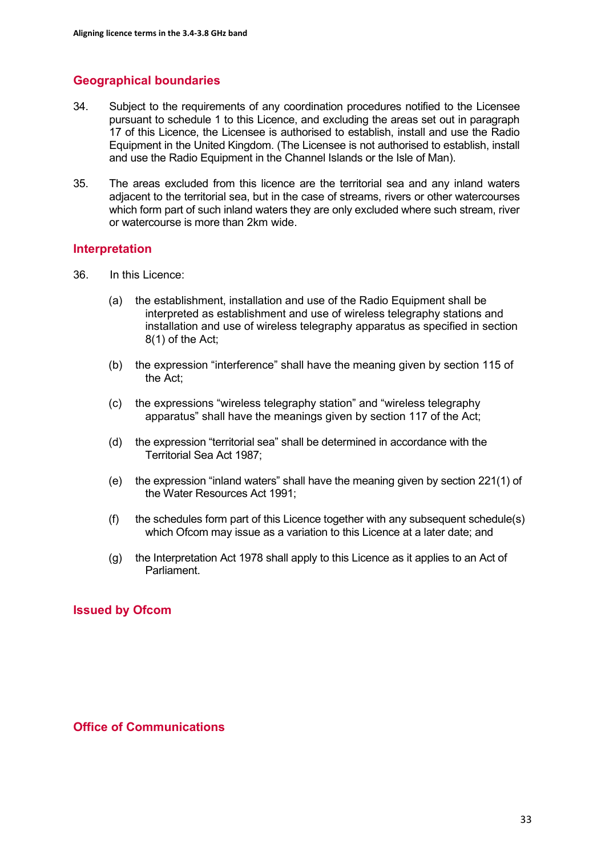# **Geographical boundaries**

- 34. Subject to the requirements of any coordination procedures notified to the Licensee pursuant to schedule 1 to this Licence, and excluding the areas set out in paragraph 17 of this Licence, the Licensee is authorised to establish, install and use the Radio Equipment in the United Kingdom. (The Licensee is not authorised to establish, install and use the Radio Equipment in the Channel Islands or the Isle of Man).
- 35. The areas excluded from this licence are the territorial sea and any inland waters adjacent to the territorial sea, but in the case of streams, rivers or other watercourses which form part of such inland waters they are only excluded where such stream, river or watercourse is more than 2km wide.

#### **Interpretation**

- 36. In this Licence:
	- (a) the establishment, installation and use of the Radio Equipment shall be interpreted as establishment and use of wireless telegraphy stations and installation and use of wireless telegraphy apparatus as specified in section 8(1) of the Act;
	- (b) the expression "interference" shall have the meaning given by section 115 of the Act;
	- (c) the expressions "wireless telegraphy station" and "wireless telegraphy apparatus" shall have the meanings given by section 117 of the Act;
	- (d) the expression "territorial sea" shall be determined in accordance with the Territorial Sea Act 1987;
	- (e) the expression "inland waters" shall have the meaning given by section 221(1) of the Water Resources Act 1991;
	- (f) the schedules form part of this Licence together with any subsequent schedule(s) which Ofcom may issue as a variation to this Licence at a later date; and
	- (g) the Interpretation Act 1978 shall apply to this Licence as it applies to an Act of Parliament.

## **Issued by Ofcom**

#### **Office of Communications**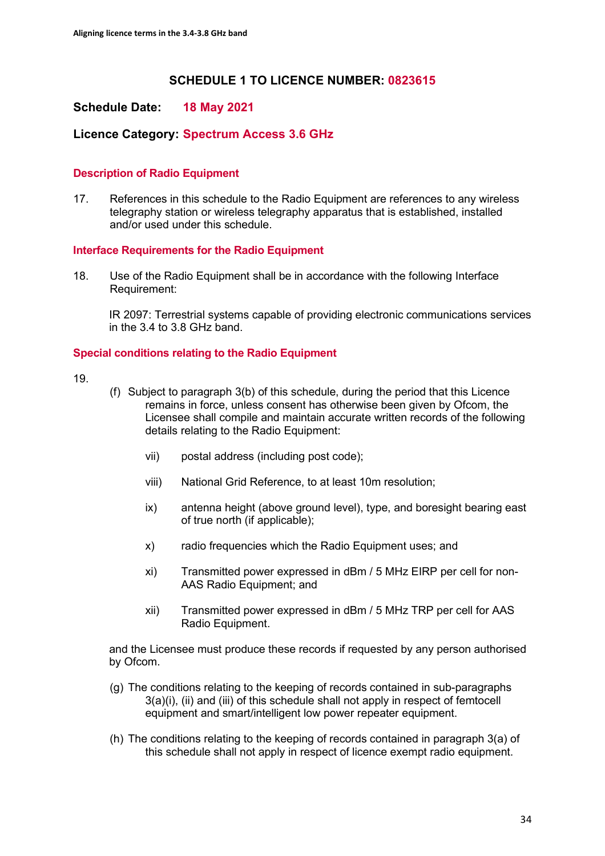# **SCHEDULE 1 TO LICENCE NUMBER: 0823615**

## **Schedule Date: 18 May 2021**

## **Licence Category: Spectrum Access 3.6 GHz**

#### **Description of Radio Equipment**

17. References in this schedule to the Radio Equipment are references to any wireless telegraphy station or wireless telegraphy apparatus that is established, installed and/or used under this schedule.

#### **Interface Requirements for the Radio Equipment**

18. Use of the Radio Equipment shall be in accordance with the following Interface Requirement:

IR 2097: Terrestrial systems capable of providing electronic communications services in the 3.4 to 3.8 GHz band.

#### **Special conditions relating to the Radio Equipment**

19.

- (f) Subject to paragraph 3(b) of this schedule, during the period that this Licence remains in force, unless consent has otherwise been given by Ofcom, the Licensee shall compile and maintain accurate written records of the following details relating to the Radio Equipment:
	- vii) postal address (including post code);
	- viii) National Grid Reference, to at least 10m resolution;
	- ix) antenna height (above ground level), type, and boresight bearing east of true north (if applicable);
	- x) radio frequencies which the Radio Equipment uses; and
	- xi) Transmitted power expressed in dBm / 5 MHz EIRP per cell for non-AAS Radio Equipment; and
	- xii) Transmitted power expressed in dBm / 5 MHz TRP per cell for AAS Radio Equipment.

and the Licensee must produce these records if requested by any person authorised by Ofcom.

- (g) The conditions relating to the keeping of records contained in sub-paragraphs 3(a)(i), (ii) and (iii) of this schedule shall not apply in respect of femtocell equipment and smart/intelligent low power repeater equipment.
- (h) The conditions relating to the keeping of records contained in paragraph 3(a) of this schedule shall not apply in respect of licence exempt radio equipment.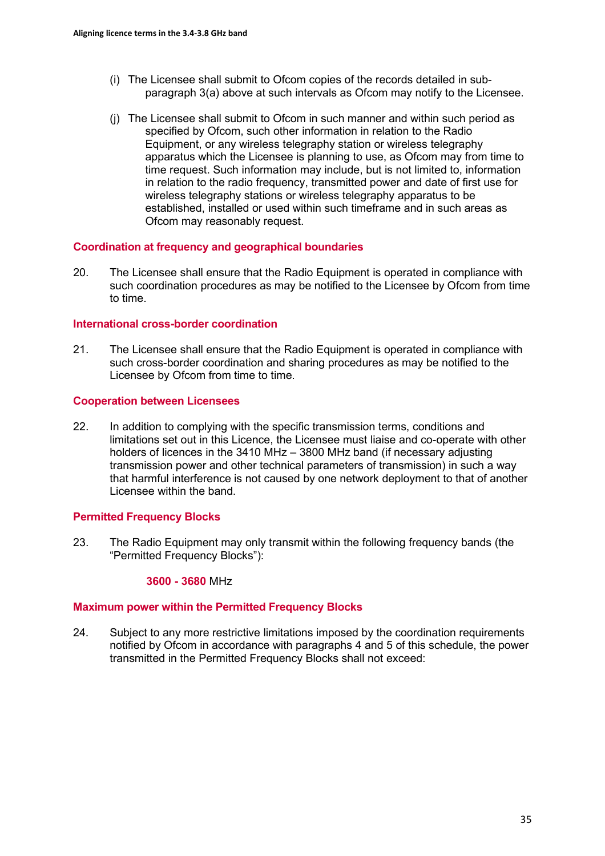- (i) The Licensee shall submit to Ofcom copies of the records detailed in subparagraph 3(a) above at such intervals as Ofcom may notify to the Licensee.
- (j) The Licensee shall submit to Ofcom in such manner and within such period as specified by Ofcom, such other information in relation to the Radio Equipment, or any wireless telegraphy station or wireless telegraphy apparatus which the Licensee is planning to use, as Ofcom may from time to time request. Such information may include, but is not limited to, information in relation to the radio frequency, transmitted power and date of first use for wireless telegraphy stations or wireless telegraphy apparatus to be established, installed or used within such timeframe and in such areas as Ofcom may reasonably request.

#### **Coordination at frequency and geographical boundaries**

20. The Licensee shall ensure that the Radio Equipment is operated in compliance with such coordination procedures as may be notified to the Licensee by Ofcom from time to time.

#### **International cross-border coordination**

21. The Licensee shall ensure that the Radio Equipment is operated in compliance with such cross-border coordination and sharing procedures as may be notified to the Licensee by Ofcom from time to time.

#### **Cooperation between Licensees**

22. In addition to complying with the specific transmission terms, conditions and limitations set out in this Licence, the Licensee must liaise and co-operate with other holders of licences in the 3410 MHz – 3800 MHz band (if necessary adjusting transmission power and other technical parameters of transmission) in such a way that harmful interference is not caused by one network deployment to that of another Licensee within the band.

#### **Permitted Frequency Blocks**

23. The Radio Equipment may only transmit within the following frequency bands (the "Permitted Frequency Blocks"):

#### **3600 - 3680** MHz

#### **Maximum power within the Permitted Frequency Blocks**

24. Subject to any more restrictive limitations imposed by the coordination requirements notified by Ofcom in accordance with paragraphs 4 and 5 of this schedule, the power transmitted in the Permitted Frequency Blocks shall not exceed: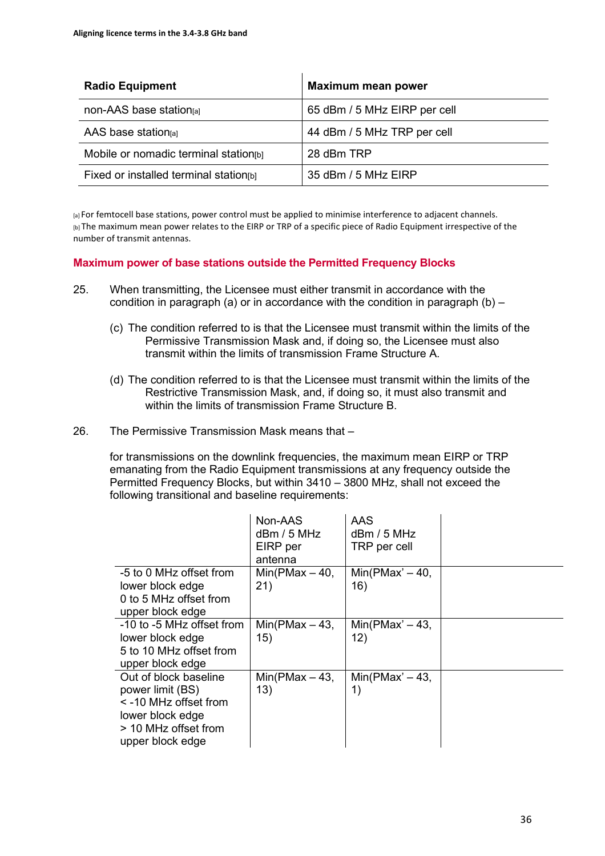| <b>Radio Equipment</b>                 | <b>Maximum mean power</b>    |
|----------------------------------------|------------------------------|
| non-AAS base station[a]                | 65 dBm / 5 MHz EIRP per cell |
| AAS base station $al$                  | 44 dBm / 5 MHz TRP per cell  |
| Mobile or nomadic terminal station[b]  | 28 dBm TRP                   |
| Fixed or installed terminal station[b] | 35 dBm / 5 MHz EIRP          |

[a] For femtocell base stations, power control must be applied to minimise interference to adjacent channels. [b] The maximum mean power relates to the EIRP or TRP of a specific piece of Radio Equipment irrespective of the number of transmit antennas.

#### **Maximum power of base stations outside the Permitted Frequency Blocks**

- 25. When transmitting, the Licensee must either transmit in accordance with the condition in paragraph (a) or in accordance with the condition in paragraph (b)  $-$ 
	- (c) The condition referred to is that the Licensee must transmit within the limits of the Permissive Transmission Mask and, if doing so, the Licensee must also transmit within the limits of transmission Frame Structure A.
	- (d) The condition referred to is that the Licensee must transmit within the limits of the Restrictive Transmission Mask, and, if doing so, it must also transmit and within the limits of transmission Frame Structure B.
- 26. The Permissive Transmission Mask means that –

for transmissions on the downlink frequencies, the maximum mean EIRP or TRP emanating from the Radio Equipment transmissions at any frequency outside the Permitted Frequency Blocks, but within 3410 – 3800 MHz, shall not exceed the following transitional and baseline requirements:

|                                                                                                                                        | Non-AAS<br>dBm / 5 MHz<br>EIRP per<br>antenna | AAS<br>$d$ Bm / 5 MHz<br>TRP per cell |  |
|----------------------------------------------------------------------------------------------------------------------------------------|-----------------------------------------------|---------------------------------------|--|
| -5 to 0 MHz offset from<br>lower block edge<br>0 to 5 MHz offset from<br>upper block edge                                              | Min(PMax $-40$ ,<br>21)                       | $Min(PMax' - 40,$<br>16)              |  |
| -10 to -5 MHz offset from<br>lower block edge<br>5 to 10 MHz offset from<br>upper block edge                                           | $Min(PMax - 43,$<br>15)                       | $Min(PMax' - 43,$<br>12)              |  |
| Out of block baseline<br>power limit (BS)<br>$\le$ -10 MHz offset from<br>lower block edge<br>> 10 MHz offset from<br>upper block edge | $Min(PMax - 43,$<br>13)                       | $Min(PMax' - 43,$<br>1)               |  |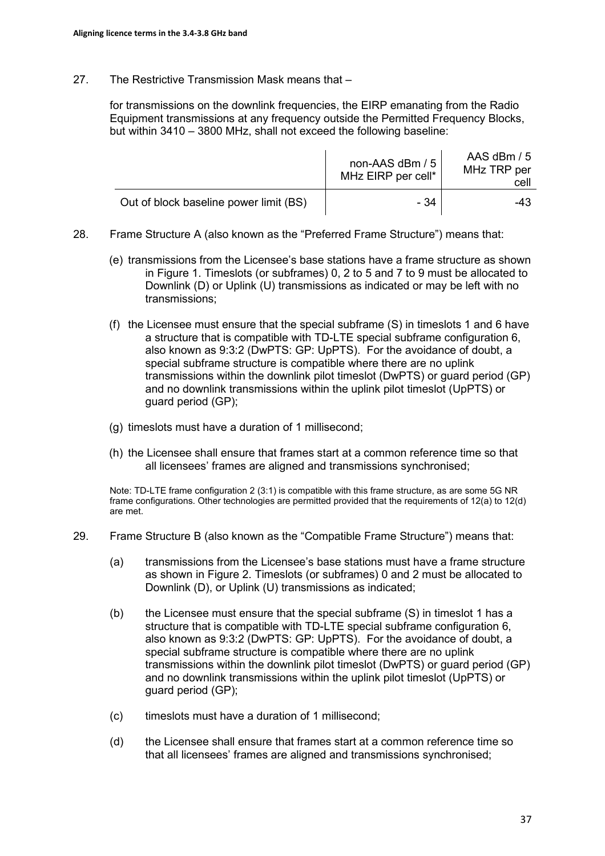27. The Restrictive Transmission Mask means that –

for transmissions on the downlink frequencies, the EIRP emanating from the Radio Equipment transmissions at any frequency outside the Permitted Frequency Blocks, but within 3410 – 3800 MHz, shall not exceed the following baseline:

|                                        | non-AAS dBm / 5<br>MHz EIRP per cell* | AAS dBm / 5<br>MHz TRP per<br>cell |
|----------------------------------------|---------------------------------------|------------------------------------|
| Out of block baseline power limit (BS) | - 34                                  | -43                                |

- 28. Frame Structure A (also known as the "Preferred Frame Structure") means that:
	- (e) transmissions from the Licensee's base stations have a frame structure as shown in Figure 1. Timeslots (or subframes) 0, 2 to 5 and 7 to 9 must be allocated to Downlink (D) or Uplink (U) transmissions as indicated or may be left with no transmissions;
	- (f) the Licensee must ensure that the special subframe (S) in timeslots 1 and 6 have a structure that is compatible with TD-LTE special subframe configuration 6, also known as 9:3:2 (DwPTS: GP: UpPTS). For the avoidance of doubt, a special subframe structure is compatible where there are no uplink transmissions within the downlink pilot timeslot (DwPTS) or guard period (GP) and no downlink transmissions within the uplink pilot timeslot (UpPTS) or guard period (GP);
	- (g) timeslots must have a duration of 1 millisecond;
	- (h) the Licensee shall ensure that frames start at a common reference time so that all licensees' frames are aligned and transmissions synchronised;

Note: TD-LTE frame configuration 2 (3:1) is compatible with this frame structure, as are some 5G NR frame configurations. Other technologies are permitted provided that the requirements of 12(a) to 12(d) are met.

- 29. Frame Structure B (also known as the "Compatible Frame Structure") means that:
	- (a) transmissions from the Licensee's base stations must have a frame structure as shown in Figure 2. Timeslots (or subframes) 0 and 2 must be allocated to Downlink (D), or Uplink (U) transmissions as indicated;
	- (b) the Licensee must ensure that the special subframe (S) in timeslot 1 has a structure that is compatible with TD-LTE special subframe configuration 6, also known as 9:3:2 (DwPTS: GP: UpPTS). For the avoidance of doubt, a special subframe structure is compatible where there are no uplink transmissions within the downlink pilot timeslot (DwPTS) or guard period (GP) and no downlink transmissions within the uplink pilot timeslot (UpPTS) or guard period (GP);
	- (c) timeslots must have a duration of 1 millisecond;
	- (d) the Licensee shall ensure that frames start at a common reference time so that all licensees' frames are aligned and transmissions synchronised;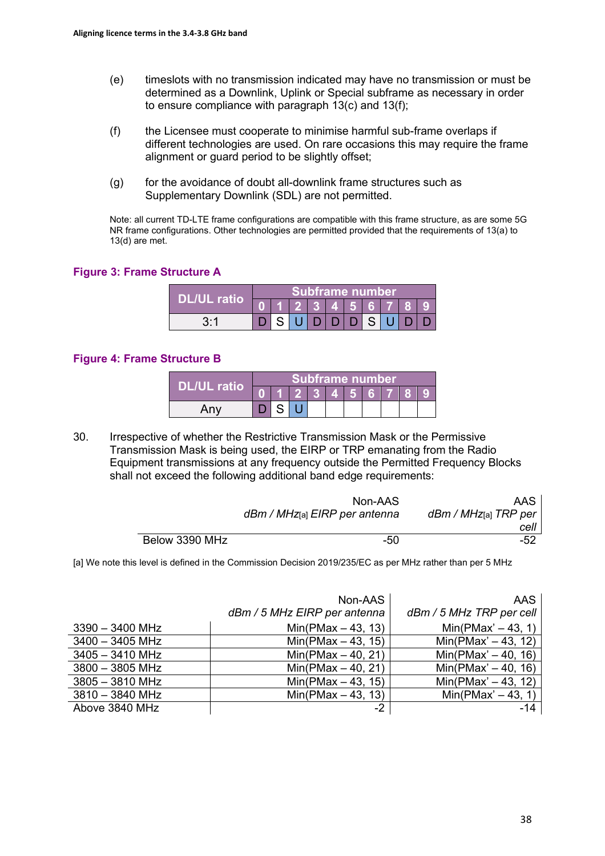- (e) timeslots with no transmission indicated may have no transmission or must be determined as a Downlink, Uplink or Special subframe as necessary in order to ensure compliance with paragraph 13(c) and 13(f);
- (f) the Licensee must cooperate to minimise harmful sub-frame overlaps if different technologies are used. On rare occasions this may require the frame alignment or guard period to be slightly offset;
- (g) for the avoidance of doubt all-downlink frame structures such as Supplementary Downlink (SDL) are not permitted.

Note: all current TD-LTE frame configurations are compatible with this frame structure, as are some 5G NR frame configurations. Other technologies are permitted provided that the requirements of 13(a) to 13(d) are met.

#### **Figure 3: Frame Structure A**

|              |  |  | <b>Subframe number</b>                        |     |      |  |  |
|--------------|--|--|-----------------------------------------------|-----|------|--|--|
| 'DL/UL ratio |  |  | $2 \mid 3 \mid 4 \mid 5 \mid 6 \mid 7 \mid 8$ |     |      |  |  |
| 3.1          |  |  |                                               | D/D | -S I |  |  |

#### **Figure 4: Frame Structure B**

|                    |  | Subframe number         |  |         |  |  |
|--------------------|--|-------------------------|--|---------|--|--|
| <b>DL/UL ratio</b> |  | $\vert 2 \vert 3 \vert$ |  | 4 5 6 7 |  |  |
| Any                |  |                         |  |         |  |  |

30. Irrespective of whether the Restrictive Transmission Mask or the Permissive Transmission Mask is being used, the EIRP or TRP emanating from the Radio Equipment transmissions at any frequency outside the Permitted Frequency Blocks shall not exceed the following additional band edge requirements:

|                | Non-AAS<br>dBm / MHz[a] EIRP per antenna | AAS<br>dBm / MHz[a] TRP per |
|----------------|------------------------------------------|-----------------------------|
|                |                                          | cell                        |
| Below 3390 MHz | -50                                      | $-52$                       |

[a] We note this level is defined in the Commission Decision 2019/235/EC as per MHz rather than per 5 MHz

|                   | Non-AAS<br>dBm / 5 MHz EIRP per antenna | AAS<br>dBm / 5 MHz TRP per cell |
|-------------------|-----------------------------------------|---------------------------------|
| $3390 - 3400$ MHz | $Min(PMax - 43, 13)$                    | $Min(PMax' - 43, 1)$            |
| $3400 - 3405$ MHz | $Min(PMax - 43, 15)$                    | $Min(PMax' - 43, 12)$           |
| $3405 - 3410$ MHz | $Min(PMax - 40, 21)$                    | $Min(PMax' - 40, 16)$           |
| $3800 - 3805$ MHz | $Min(PMax - 40, 21)$                    | $Min(PMax' - 40, 16)$           |
| $3805 - 3810$ MHz | $Min(PMax - 43, 15)$                    | $Min(PMax' - 43, 12)$           |
| $3810 - 3840$ MHz | $Min(PMax - 43, 13)$                    | $Min(PMax' - 43, 1)$            |
| Above 3840 MHz    | $-2$                                    | $-14$                           |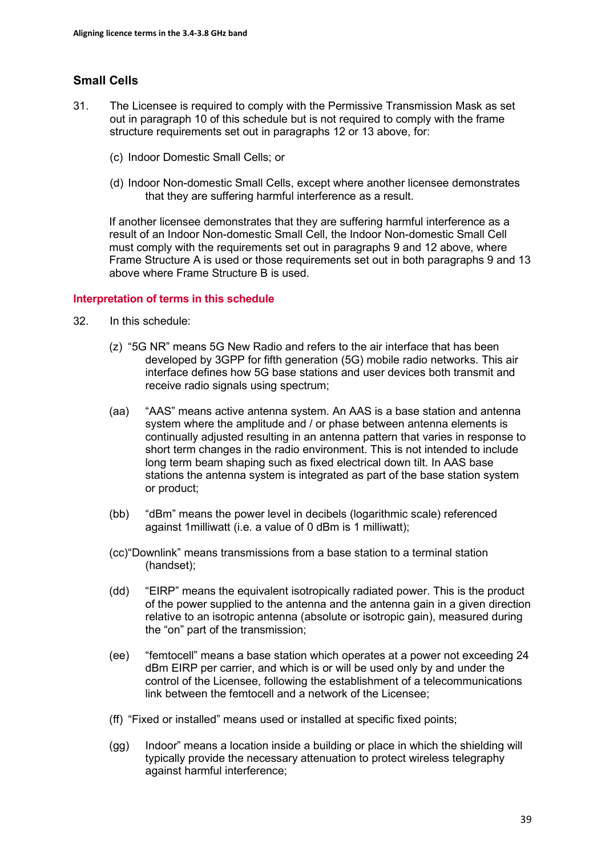# **Small Cells**

- 31. The Licensee is required to comply with the Permissive Transmission Mask as set out in paragraph 10 of this schedule but is not required to comply with the frame structure requirements set out in paragraphs 12 or 13 above, for:
	- (c) Indoor Domestic Small Cells; or
	- (d) Indoor Non-domestic Small Cells, except where another licensee demonstrates that they are suffering harmful interference as a result.

If another licensee demonstrates that they are suffering harmful interference as a result of an Indoor Non-domestic Small Cell, the Indoor Non-domestic Small Cell must comply with the requirements set out in paragraphs 9 and 12 above, where Frame Structure A is used or those requirements set out in both paragraphs 9 and 13 above where Frame Structure B is used.

#### **Interpretation of terms in this schedule**

- 32. In this schedule:
	- (z) "5G NR" means 5G New Radio and refers to the air interface that has been developed by 3GPP for fifth generation (5G) mobile radio networks. This air interface defines how 5G base stations and user devices both transmit and receive radio signals using spectrum;
	- (aa) "AAS" means active antenna system. An AAS is a base station and antenna system where the amplitude and / or phase between antenna elements is continually adjusted resulting in an antenna pattern that varies in response to short term changes in the radio environment. This is not intended to include long term beam shaping such as fixed electrical down tilt. In AAS base stations the antenna system is integrated as part of the base station system or product;
	- (bb) "dBm" means the power level in decibels (logarithmic scale) referenced against 1milliwatt (i.e. a value of 0 dBm is 1 milliwatt);
	- (cc) "Downlink" means transmissions from a base station to a terminal station (handset);
	- (dd) "EIRP" means the equivalent isotropically radiated power. This is the product of the power supplied to the antenna and the antenna gain in a given direction relative to an isotropic antenna (absolute or isotropic gain), measured during the "on" part of the transmission;
	- (ee) "femtocell" means a base station which operates at a power not exceeding 24 dBm EIRP per carrier, and which is or will be used only by and under the control of the Licensee, following the establishment of a telecommunications link between the femtocell and a network of the Licensee;
	- (ff) "Fixed or installed" means used or installed at specific fixed points;
	- (gg) Indoor" means a location inside a building or place in which the shielding will typically provide the necessary attenuation to protect wireless telegraphy against harmful interference;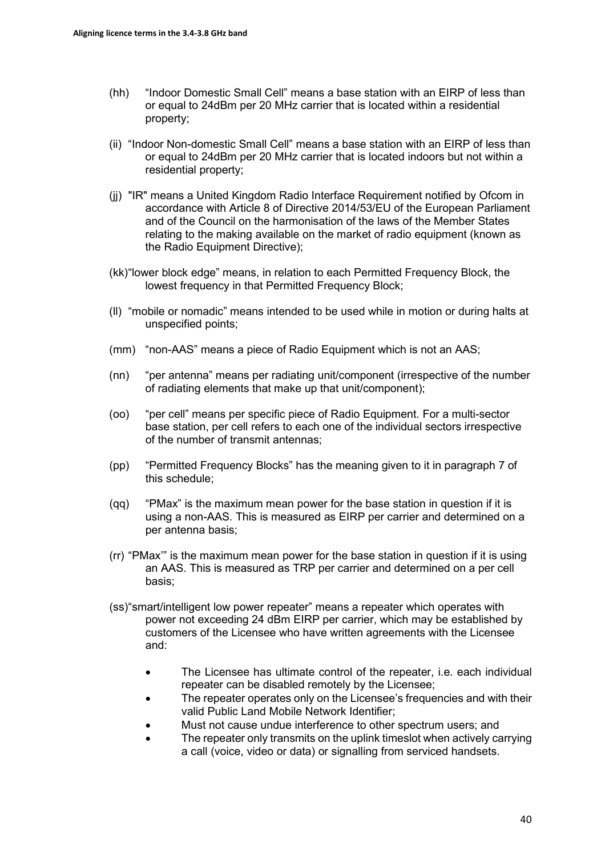- (hh) "Indoor Domestic Small Cell" means a base station with an EIRP of less than or equal to 24dBm per 20 MHz carrier that is located within a residential property;
- (ii) "Indoor Non-domestic Small Cell" means a base station with an EIRP of less than or equal to 24dBm per 20 MHz carrier that is located indoors but not within a residential property;
- (jj) "IR" means a United Kingdom Radio Interface Requirement notified by Ofcom in accordance with Article 8 of Directive 2014/53/EU of the European Parliament and of the Council on the harmonisation of the laws of the Member States relating to the making available on the market of radio equipment (known as the Radio Equipment Directive);
- (kk) "lower block edge" means, in relation to each Permitted Frequency Block, the lowest frequency in that Permitted Frequency Block;
- (ll) "mobile or nomadic" means intended to be used while in motion or during halts at unspecified points;
- (mm) "non-AAS" means a piece of Radio Equipment which is not an AAS;
- (nn) "per antenna" means per radiating unit/component (irrespective of the number of radiating elements that make up that unit/component);
- (oo) "per cell" means per specific piece of Radio Equipment. For a multi-sector base station, per cell refers to each one of the individual sectors irrespective of the number of transmit antennas;
- (pp) "Permitted Frequency Blocks" has the meaning given to it in paragraph 7 of this schedule;
- (qq) "PMax" is the maximum mean power for the base station in question if it is using a non-AAS. This is measured as EIRP per carrier and determined on a per antenna basis;
- (rr) "PMax'" is the maximum mean power for the base station in question if it is using an AAS. This is measured as TRP per carrier and determined on a per cell basis;
- (ss) "smart/intelligent low power repeater" means a repeater which operates with power not exceeding 24 dBm EIRP per carrier, which may be established by customers of the Licensee who have written agreements with the Licensee and:
	- The Licensee has ultimate control of the repeater, i.e. each individual repeater can be disabled remotely by the Licensee;
	- The repeater operates only on the Licensee's frequencies and with their valid Public Land Mobile Network Identifier;
	- Must not cause undue interference to other spectrum users; and
	- The repeater only transmits on the uplink timeslot when actively carrying a call (voice, video or data) or signalling from serviced handsets.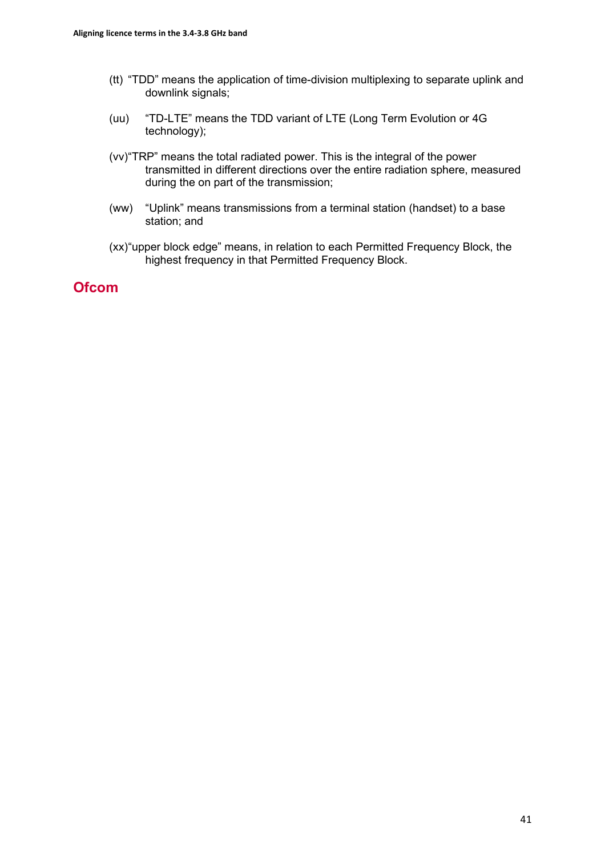- (tt) "TDD" means the application of time-division multiplexing to separate uplink and downlink signals;
- (uu) "TD-LTE" means the TDD variant of LTE (Long Term Evolution or 4G technology);
- (vv) "TRP" means the total radiated power. This is the integral of the power transmitted in different directions over the entire radiation sphere, measured during the on part of the transmission;
- (ww) "Uplink" means transmissions from a terminal station (handset) to a base station; and
- (xx) "upper block edge" means, in relation to each Permitted Frequency Block, the highest frequency in that Permitted Frequency Block.

# **Ofcom**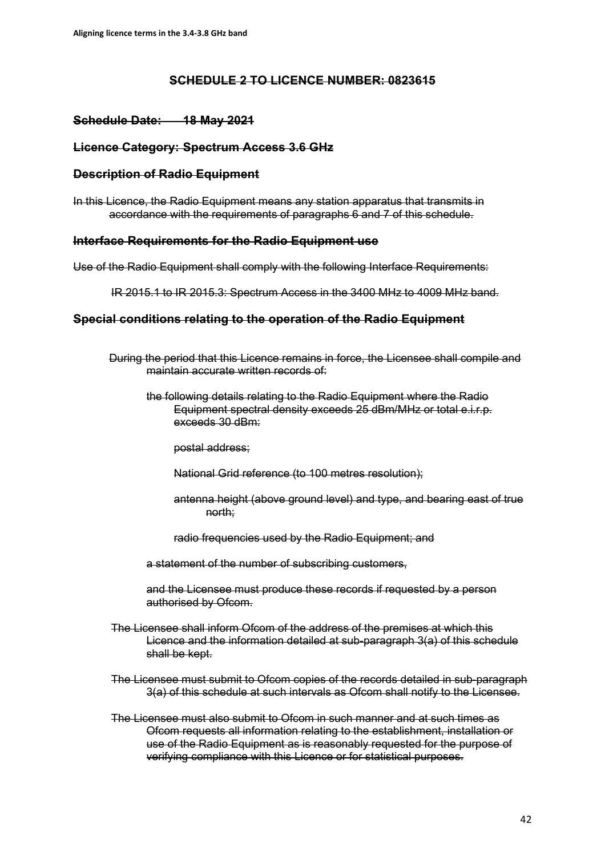#### **SCHEDULE 2 TO LICENCE NUMBER: 0823615**

## **Schedule Date: 18 May 2021**

#### **Licence Category: Spectrum Access 3.6 GHz**

#### **Description of Radio Equipment**

In this Licence, the Radio Equipment means any station apparatus that transmits in accordance with the requirements of paragraphs 6 and 7 of this schedule.

#### **Interface Requirements for the Radio Equipment use**

Use of the Radio Equipment shall comply with the following Interface Requirements:

IR 2015.1 to IR 2015.3: Spectrum Access in the 3400 MHz to 4009 MHz band.

#### **Special conditions relating to the operation of the Radio Equipment**

During the period that this Licence remains in force, the Licensee shall compile and maintain accurate written records of:

the following details relating to the Radio Equipment where the Radio Equipment spectral density exceeds 25 dBm/MHz or total e.i.r.p. exceeds 30 dBm:

postal address;

- National Grid reference (to 100 metres resolution);
- antenna height (above ground level) and type, and bearing east of true north;
- radio frequencies used by the Radio Equipment; and
- a statement of the number of subscribing customers,

and the Licensee must produce these records if requested by a person authorised by Ofcom.

- The Licensee shall inform Ofcom of the address of the premises at which this Licence and the information detailed at sub-paragraph 3(a) of this schedule shall be kept.
- The Licensee must submit to Ofcom copies of the records detailed in sub-paragraph 3(a) of this schedule at such intervals as Ofcom shall notify to the Licensee.
- The Licensee must also submit to Ofcom in such manner and at such times as Ofcom requests all information relating to the establishment, installation or use of the Radio Equipment as is reasonably requested for the purpose of verifying compliance with this Licence or for statistical purposes.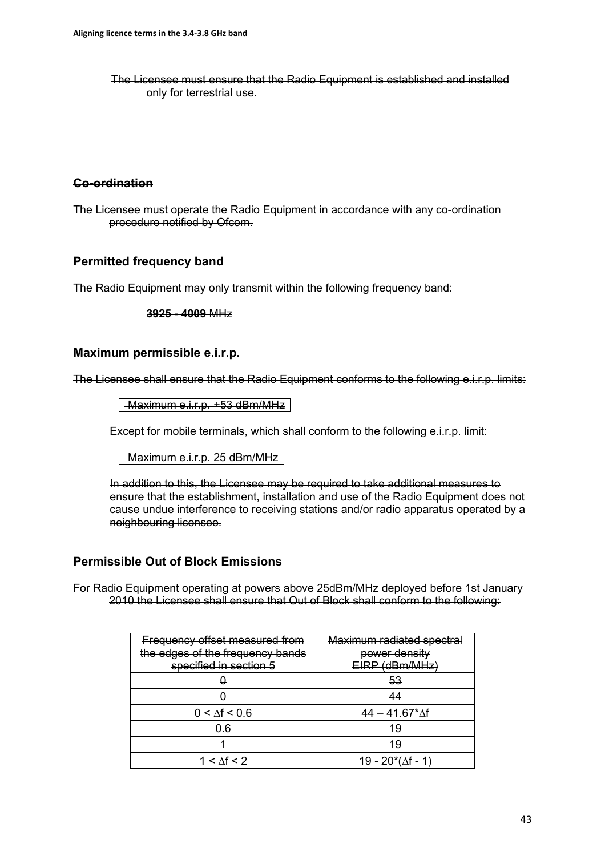The Licensee must ensure that the Radio Equipment is established and installed only for terrestrial use.

## **Co-ordination**

The Licensee must operate the Radio Equipment in accordance with any co-ordination procedure notified by Ofcom.

# **Permitted frequency band**

The Radio Equipment may only transmit within the following frequency band:

**3925 - 4009** MHz

### **Maximum permissible e.i.r.p.**

The Licensee shall ensure that the Radio Equipment conforms to the following e.i.r.p. limits:

Maximum e.i.r.p. +53 dBm/MHz

Except for mobile terminals, which shall conform to the following e.i.r.p. limit:

Maximum e.i.r.p. 25 dBm/MHz

In addition to this, the Licensee may be required to take additional measures to ensure that the establishment, installation and use of the Radio Equipment does not cause undue interference to receiving stations and/or radio apparatus operated by a neighbouring licensee.

## **Permissible Out of Block Emissions**

For Radio Equipment operating at powers above 25dBm/MHz deployed before 1st January 2010 the Licensee shall ensure that Out of Block shall conform to the following:

| Frequency offset measured from   | Maximum radiated spectral |
|----------------------------------|---------------------------|
| the edges of the frequency bands | power density             |
| specified in section 5           | (dBm/MHz)                 |
|                                  | 53                        |
|                                  | ΛΛ                        |
|                                  | $67*$ Af                  |
| 0.6                              | 19                        |
|                                  | 1 Q                       |
|                                  | $\star$                   |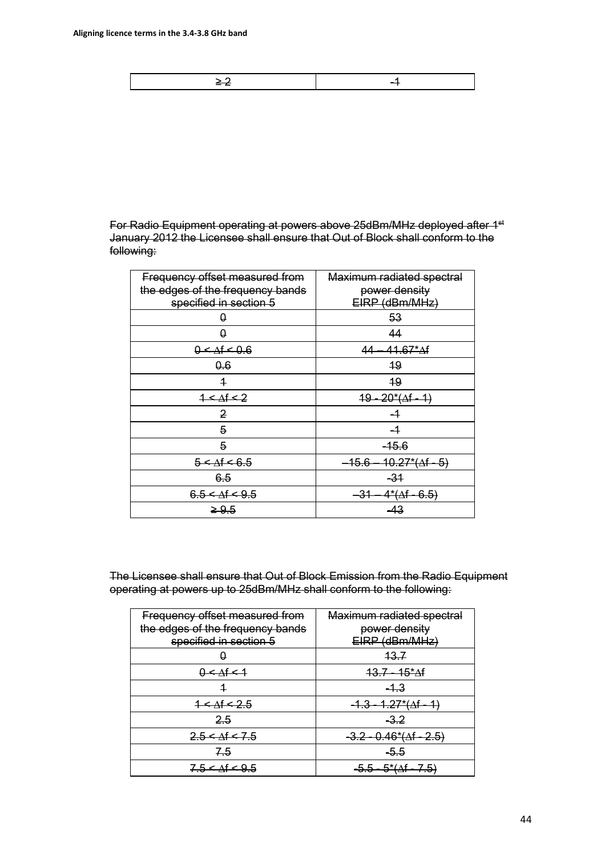≥ 2 -1

For Radio Equipment operating at powers above 25dBm/MHz deployed after 1st January 2012 the Licensee shall ensure that Out of Block shall conform to the following:

| Frequency offset measured from<br>the edges of the frequency bands<br>specified in section 5 | Maximum radiated spectral<br>power density<br>EIRP (dBm/MHz) |
|----------------------------------------------------------------------------------------------|--------------------------------------------------------------|
| θ                                                                                            | 53                                                           |
| 0                                                                                            | 44                                                           |
| $0 < \Delta f < 0.6$                                                                         | $41.67*$ $\Delta f$<br>44                                    |
| 0.6                                                                                          | 19                                                           |
| 4                                                                                            | 19                                                           |
| $1 < \Delta f < 2$                                                                           | <u>19 - 20*(Af - 1)</u>                                      |
| $\overline{2}$                                                                               |                                                              |
| 5                                                                                            | $-1$                                                         |
| 5                                                                                            | $-15.6$                                                      |
| $5 < \Delta f < 6.5$                                                                         | $-15.6 - 10.27*(\Delta f - 5)$                               |
| 6.5                                                                                          | $-31$                                                        |
| $6.5 < \Delta f < 9.5$                                                                       | 4* <del>(</del> Af - 6.5)                                    |
| $\geq 9.5$                                                                                   | -43                                                          |

The Licensee shall ensure that Out of Block Emission from the Radio Equipment operating at powers up to 25dBm/MHz shall conform to the following:

| Frequency offset measured from   | Maximum radiated spectral |
|----------------------------------|---------------------------|
| the edges of the frequency bands | power density             |
| specified in section 5           | (dBm/MHz)                 |
|                                  | <del>13.7</del>           |
| $0 \leq At \leq 1$               | <del>13.7 - 15*Af</del>   |
|                                  | $-1.3$                    |
| $4 \leq At \leq 2.5$             |                           |
| 2.5                              | <del>-3.2</del>           |
| $2.5 < \Delta f < 7.5$           | <del>46*(∆f - 2.5`</del>  |
| <del>7.5</del>                   | -5.5                      |
| 7.5 < At < 9.5                   | <del>5*(∆f</del>          |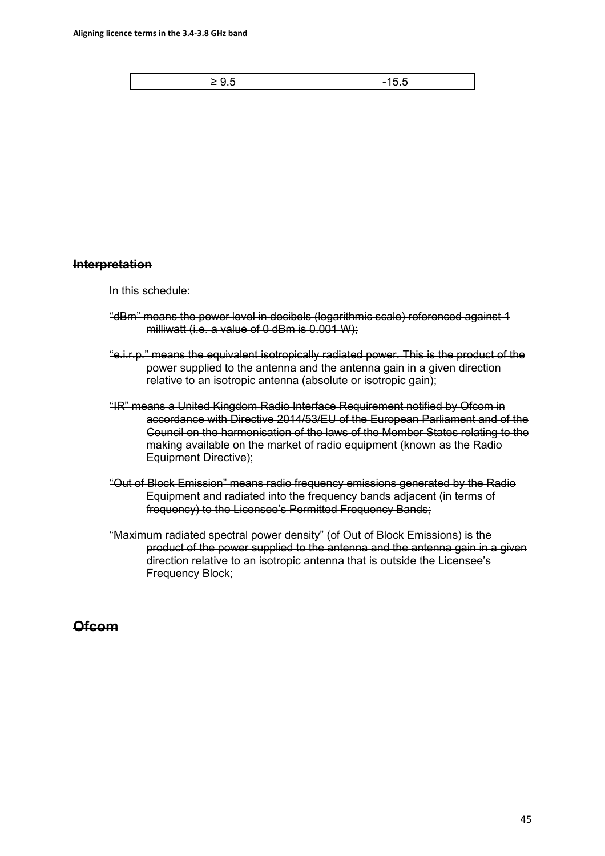|--|

#### **Interpretation**

In this schedule:

- "dBm" means the power level in decibels (logarithmic scale) referenced against 1 milliwatt (i.e. a value of 0 dBm is 0.001 W);
- "e.i.r.p." means the equivalent isotropically radiated power. This is the product of the power supplied to the antenna and the antenna gain in a given direction relative to an isotropic antenna (absolute or isotropic gain);
- "IR" means a United Kingdom Radio Interface Requirement notified by Ofcom in accordance with Directive 2014/53/EU of the European Parliament and of the Council on the harmonisation of the laws of the Member States relating to the making available on the market of radio equipment (known as the Radio Equipment Directive);
- "Out of Block Emission" means radio frequency emissions generated by the Radio Equipment and radiated into the frequency bands adjacent (in terms of frequency) to the Licensee's Permitted Frequency Bands;
- "Maximum radiated spectral power density" (of Out of Block Emissions) is the product of the power supplied to the antenna and the antenna gain in a given direction relative to an isotropic antenna that is outside the Licensee's Frequency Block;

# **Ofcom**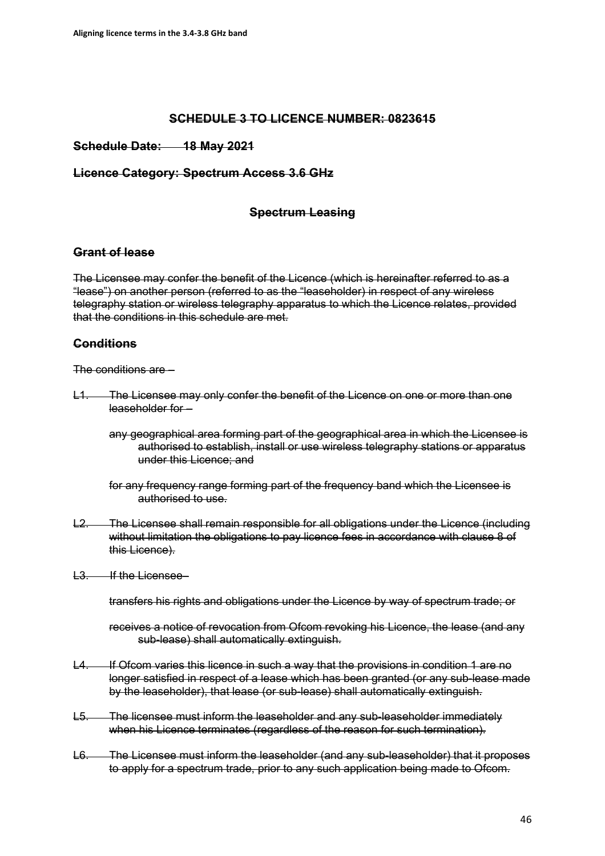## **SCHEDULE 3 TO LICENCE NUMBER: 0823615**

### **Schedule Date: 18 May 2021**

#### **Licence Category: Spectrum Access 3.6 GHz**

## **Spectrum Leasing**

#### **Grant of lease**

The Licensee may confer the benefit of the Licence (which is hereinafter referred to as a "lease") on another person (referred to as the "leaseholder) in respect of any wireless telegraphy station or wireless telegraphy apparatus to which the Licence relates, provided that the conditions in this schedule are met.

## **Conditions**

The conditions are –

L1. The Licensee may only confer the benefit of the Licence on one or more than one leaseholder for –

any geographical area forming part of the geographical area in which the Licensee is authorised to establish, install or use wireless telegraphy stations or apparatus under this Licence; and

for any frequency range forming part of the frequency band which the Licensee is authorised to use.

- L2. The Licensee shall remain responsible for all obligations under the Licence (including without limitation the obligations to pay licence fees in accordance with clause 8 of this Licence).
- L3. If the Licensee–

transfers his rights and obligations under the Licence by way of spectrum trade; or

- receives a notice of revocation from Ofcom revoking his Licence, the lease (and any sub-lease) shall automatically extinguish.
- L4. If Ofcom varies this licence in such a way that the provisions in condition 1 are no longer satisfied in respect of a lease which has been granted (or any sub-lease made by the leaseholder), that lease (or sub-lease) shall automatically extinguish.
- L5. The licensee must inform the leaseholder and any sub-leaseholder immediately when his Licence terminates (regardless of the reason for such termination).
- L6. The Licensee must inform the leaseholder (and any sub-leaseholder) that it proposes to apply for a spectrum trade, prior to any such application being made to Ofcom.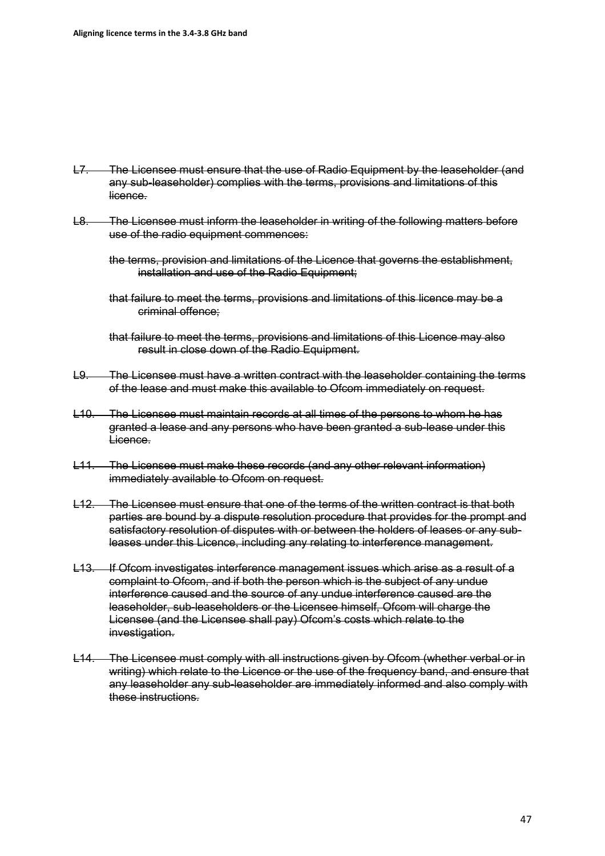- L7. The Licensee must ensure that the use of Radio Equipment by the leaseholder (and any sub-leaseholder) complies with the terms, provisions and limitations of this licence.
- L8. The Licensee must inform the leaseholder in writing of the following matters before use of the radio equipment commences:
	- the terms, provision and limitations of the Licence that governs the establishment, installation and use of the Radio Equipment;
	- that failure to meet the terms, provisions and limitations of this licence may be a criminal offence;
	- that failure to meet the terms, provisions and limitations of this Licence may also result in close down of the Radio Equipment.
- L9. The Licensee must have a written contract with the leaseholder containing the terms of the lease and must make this available to Ofcom immediately on request.
- L10. The Licensee must maintain records at all times of the persons to whom he has granted a lease and any persons who have been granted a sub-lease under this Licence.
- L11. The Licensee must make these records (and any other relevant information) immediately available to Ofcom on request.
- L12. The Licensee must ensure that one of the terms of the written contract is that both parties are bound by a dispute resolution procedure that provides for the prompt and satisfactory resolution of disputes with or between the holders of leases or any subleases under this Licence, including any relating to interference management.
- L13. If Ofcom investigates interference management issues which arise as a result of a complaint to Ofcom, and if both the person which is the subject of any undue interference caused and the source of any undue interference caused are the leaseholder, sub-leaseholders or the Licensee himself, Ofcom will charge the Licensee (and the Licensee shall pay) Ofcom's costs which relate to the investigation.
- L14. The Licensee must comply with all instructions given by Ofcom (whether verbal or in writing) which relate to the Licence or the use of the frequency band, and ensure that any leaseholder any sub-leaseholder are immediately informed and also comply with these instructions.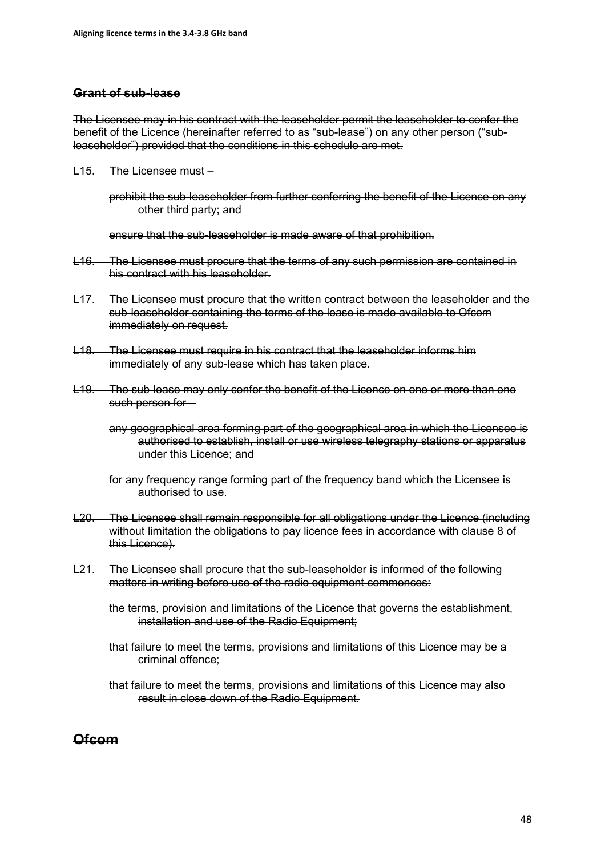### **Grant of sub-lease**

The Licensee may in his contract with the leaseholder permit the leaseholder to confer the benefit of the Licence (hereinafter referred to as "sub-lease") on any other person ("subleaseholder") provided that the conditions in this schedule are met.

- L15. The Licensee must
	- prohibit the sub-leaseholder from further conferring the benefit of the Licence on any other third party; and

ensure that the sub-leaseholder is made aware of that prohibition.

- L16. The Licensee must procure that the terms of any such permission are contained in his contract with his leaseholder.
- L17. The Licensee must procure that the written contract between the leaseholder and the sub-leaseholder containing the terms of the lease is made available to Ofcom immediately on request.
- L18. The Licensee must require in his contract that the leaseholder informs him immediately of any sub-lease which has taken place.
- L19. The sub-lease may only confer the benefit of the Licence on one or more than one such person for –

any geographical area forming part of the geographical area in which the Licensee is authorised to establish, install or use wireless telegraphy stations or apparatus under this Licence; and

- for any frequency range forming part of the frequency band which the Licensee is authorised to use.
- L20. The Licensee shall remain responsible for all obligations under the Licence (including without limitation the obligations to pay licence fees in accordance with clause 8 of this Licence).
- L21. The Licensee shall procure that the sub-leaseholder is informed of the following matters in writing before use of the radio equipment commences:
	- the terms, provision and limitations of the Licence that governs the establishment, installation and use of the Radio Equipment;
	- that failure to meet the terms, provisions and limitations of this Licence may be a criminal offence;
	- that failure to meet the terms, provisions and limitations of this Licence may also result in close down of the Radio Equipment.

# **Ofcom**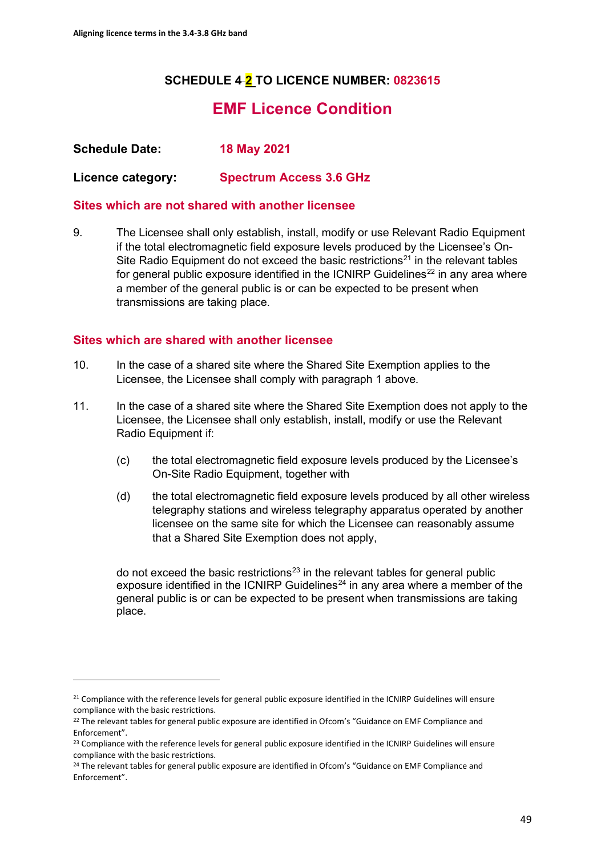# **SCHEDULE 4 2 TO LICENCE NUMBER: 0823615**

# **EMF Licence Condition**

**Schedule Date: 18 May 2021**

**Licence category: Spectrum Access 3.6 GHz**

## **Sites which are not shared with another licensee**

9. The Licensee shall only establish, install, modify or use Relevant Radio Equipment if the total electromagnetic field exposure levels produced by the Licensee's On-Site Radio Equipment do not exceed the basic restrictions<sup>[21](#page-48-0)</sup> in the relevant tables for general public exposure identified in the ICNIRP Guidelines<sup>[22](#page-48-1)</sup> in any area where a member of the general public is or can be expected to be present when transmissions are taking place.

# **Sites which are shared with another licensee**

- 10. In the case of a shared site where the Shared Site Exemption applies to the Licensee, the Licensee shall comply with paragraph 1 above.
- 11. In the case of a shared site where the Shared Site Exemption does not apply to the Licensee, the Licensee shall only establish, install, modify or use the Relevant Radio Equipment if:
	- (c) the total electromagnetic field exposure levels produced by the Licensee's On-Site Radio Equipment, together with
	- (d) the total electromagnetic field exposure levels produced by all other wireless telegraphy stations and wireless telegraphy apparatus operated by another licensee on the same site for which the Licensee can reasonably assume that a Shared Site Exemption does not apply,

do not exceed the basic restrictions<sup>[23](#page-48-2)</sup> in the relevant tables for general public exposure identified in the ICNIRP Guidelines<sup>[24](#page-48-3)</sup> in any area where a member of the general public is or can be expected to be present when transmissions are taking place.

<span id="page-48-0"></span><sup>&</sup>lt;sup>21</sup> Compliance with the reference levels for general public exposure identified in the ICNIRP Guidelines will ensure compliance with the basic restrictions.

<span id="page-48-1"></span><sup>&</sup>lt;sup>22</sup> The relevant tables for general public exposure are identified in Ofcom's "Guidance on EMF Compliance and Enforcement".

<span id="page-48-2"></span><sup>&</sup>lt;sup>23</sup> Compliance with the reference levels for general public exposure identified in the ICNIRP Guidelines will ensure compliance with the basic restrictions.

<span id="page-48-3"></span><sup>&</sup>lt;sup>24</sup> The relevant tables for general public exposure are identified in Ofcom's "Guidance on EMF Compliance and Enforcement".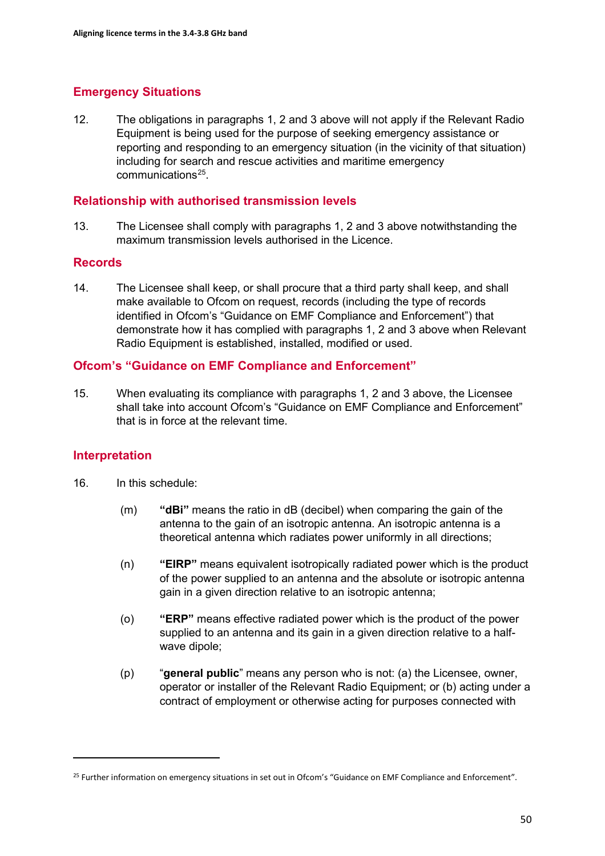# **Emergency Situations**

12. The obligations in paragraphs 1, 2 and 3 above will not apply if the Relevant Radio Equipment is being used for the purpose of seeking emergency assistance or reporting and responding to an emergency situation (in the vicinity of that situation) including for search and rescue activities and maritime emergency communications[25](#page-49-0).

### **Relationship with authorised transmission levels**

13. The Licensee shall comply with paragraphs 1, 2 and 3 above notwithstanding the maximum transmission levels authorised in the Licence.

## **Records**

14. The Licensee shall keep, or shall procure that a third party shall keep, and shall make available to Ofcom on request, records (including the type of records identified in Ofcom's "Guidance on EMF Compliance and Enforcement") that demonstrate how it has complied with paragraphs 1, 2 and 3 above when Relevant Radio Equipment is established, installed, modified or used.

# **Ofcom's "Guidance on EMF Compliance and Enforcement"**

15. When evaluating its compliance with paragraphs 1, 2 and 3 above, the Licensee shall take into account Ofcom's "Guidance on EMF Compliance and Enforcement" that is in force at the relevant time.

## **Interpretation**

- 16. In this schedule:
	- (m) **"dBi"** means the ratio in dB (decibel) when comparing the gain of the antenna to the gain of an isotropic antenna. An isotropic antenna is a theoretical antenna which radiates power uniformly in all directions;
	- (n) **"EIRP"** means equivalent isotropically radiated power which is the product of the power supplied to an antenna and the absolute or isotropic antenna gain in a given direction relative to an isotropic antenna;
	- (o) **"ERP"** means effective radiated power which is the product of the power supplied to an antenna and its gain in a given direction relative to a halfwave dipole;
	- (p) "**general public**" means any person who is not: (a) the Licensee, owner, operator or installer of the Relevant Radio Equipment; or (b) acting under a contract of employment or otherwise acting for purposes connected with

<span id="page-49-0"></span><sup>&</sup>lt;sup>25</sup> Further information on emergency situations in set out in Ofcom's "Guidance on EMF Compliance and Enforcement".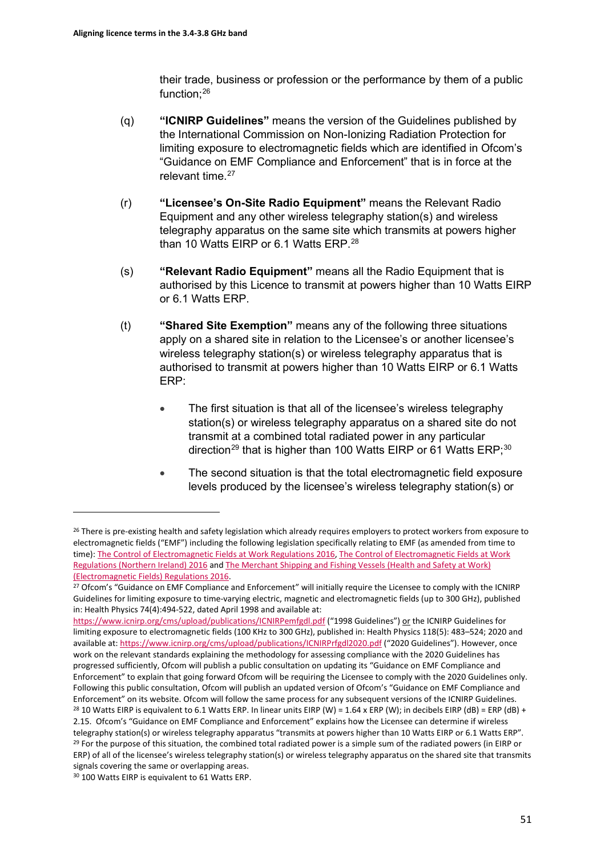their trade, business or profession or the performance by them of a public function; $^{26}$  $^{26}$  $^{26}$ 

- (q) **"ICNIRP Guidelines"** means the version of the Guidelines published by the International Commission on Non-Ionizing Radiation Protection for limiting exposure to electromagnetic fields which are identified in Ofcom's "Guidance on EMF Compliance and Enforcement" that is in force at the relevant time. [27](#page-50-1)
- (r) **"Licensee's On-Site Radio Equipment"** means the Relevant Radio Equipment and any other wireless telegraphy station(s) and wireless telegraphy apparatus on the same site which transmits at powers higher than 10 Watts EIRP or 6.1 Watts ERP.<sup>[28](#page-50-2)</sup>
- (s) **"Relevant Radio Equipment"** means all the Radio Equipment that is authorised by this Licence to transmit at powers higher than 10 Watts EIRP or 6.1 Watts ERP.
- (t) **"Shared Site Exemption"** means any of the following three situations apply on a shared site in relation to the Licensee's or another licensee's wireless telegraphy station(s) or wireless telegraphy apparatus that is authorised to transmit at powers higher than 10 Watts EIRP or 6.1 Watts ERP:
	- The first situation is that all of the licensee's wireless telegraphy station(s) or wireless telegraphy apparatus on a shared site do not transmit at a combined total radiated power in any particular direction<sup>[29](#page-50-3)</sup> that is higher than 100 Watts EIRP or 61 Watts ERP;<sup>30</sup>
	- The second situation is that the total electromagnetic field exposure levels produced by the licensee's wireless telegraphy station(s) or

<span id="page-50-0"></span><sup>&</sup>lt;sup>26</sup> There is pre-existing health and safety legislation which already requires employers to protect workers from exposure to electromagnetic fields ("EMF") including the following legislation specifically relating to EMF (as amended from time to time): [The Control of Electromagnetic Fields at Work Regulations 2016,](https://www.legislation.gov.uk/uksi/2016/588/pdfs/uksi_20160588_en.pdf) The Control of Electromagnetic Fields at Work [Regulations \(Northern Ireland\) 2016](https://www.legislation.gov.uk/nisr/2016/266/contents/made) and [The Merchant Shipping and Fishing Vessels \(Health and Safety at Work\)](https://www.legislation.gov.uk/uksi/2016/1026/contents/made)  [\(Electromagnetic Fields\) Regulations 2016.](https://www.legislation.gov.uk/uksi/2016/1026/contents/made)<br><sup>27</sup> Ofcom's "Guidance on EMF Compliance and Enforcement" will initially require the Licensee to comply with the ICNIRP

<span id="page-50-1"></span>Guidelines for limiting exposure to time-varying electric, magnetic and electromagnetic fields (up to 300 GHz), published in: Health Physics 74(4):494-522, dated April 1998 and available at:

<https://www.icnirp.org/cms/upload/publications/ICNIRPemfgdl.pdf> ("1998 Guidelines") or the ICNIRP Guidelines for limiting exposure to electromagnetic fields (100 KHz to 300 GHz), published in: Health Physics 118(5): 483–524; 2020 and available at[: https://www.icnirp.org/cms/upload/publications/ICNIRPrfgdl2020.pdf](https://www.icnirp.org/cms/upload/publications/ICNIRPrfgdl2020.pdf) ("2020 Guidelines"). However, once work on the relevant standards explaining the methodology for assessing compliance with the 2020 Guidelines has progressed sufficiently, Ofcom will publish a public consultation on updating its "Guidance on EMF Compliance and Enforcement" to explain that going forward Ofcom will be requiring the Licensee to comply with the 2020 Guidelines only. Following this public consultation, Ofcom will publish an updated version of Ofcom's "Guidance on EMF Compliance and Enforcement" on its website. Ofcom will follow the same process for any subsequent versions of the ICNIRP Guidelines.<br><sup>28</sup> 10 Watts EIRP is equivalent to 6.1 Watts ERP. In linear units EIRP (W) = 1.64 x ERP (W); in decibe 2.15. Ofcom's "Guidance on EMF Compliance and Enforcement" explains how the Licensee can determine if wireless telegraphy station(s) or wireless telegraphy apparatus "transmits at powers higher than 10 Watts EIRP or 6.1 Watts ERP".<br><sup>29</sup> For the purpose of this situation, the combined total radiated power is a simple sum of the radi ERP) of all of the licensee's wireless telegraphy station(s) or wireless telegraphy apparatus on the shared site that transmits signals covering the same or overlapping areas.

<span id="page-50-4"></span><span id="page-50-3"></span><span id="page-50-2"></span><sup>30</sup> 100 Watts EIRP is equivalent to 61 Watts ERP.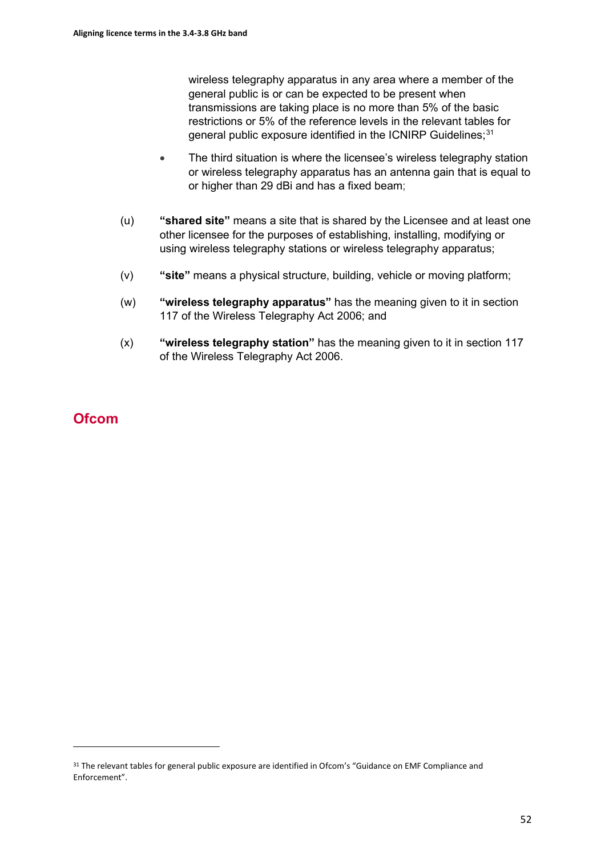wireless telegraphy apparatus in any area where a member of the general public is or can be expected to be present when transmissions are taking place is no more than 5% of the basic restrictions or 5% of the reference levels in the relevant tables for general public exposure identified in the ICNIRP Guidelines;<sup>[31](#page-51-0)</sup>

- The third situation is where the licensee's wireless telegraphy station or wireless telegraphy apparatus has an antenna gain that is equal to or higher than 29 dBi and has a fixed beam;
- (u) **"shared site"** means a site that is shared by the Licensee and at least one other licensee for the purposes of establishing, installing, modifying or using wireless telegraphy stations or wireless telegraphy apparatus;
- (v) **"site"** means a physical structure, building, vehicle or moving platform;
- (w) **"wireless telegraphy apparatus"** has the meaning given to it in section 117 of the Wireless Telegraphy Act 2006; and
- (x) **"wireless telegraphy station"** has the meaning given to it in section 117 of the Wireless Telegraphy Act 2006.

# **Ofcom**

<span id="page-51-0"></span><sup>&</sup>lt;sup>31</sup> The relevant tables for general public exposure are identified in Ofcom's "Guidance on EMF Compliance and Enforcement".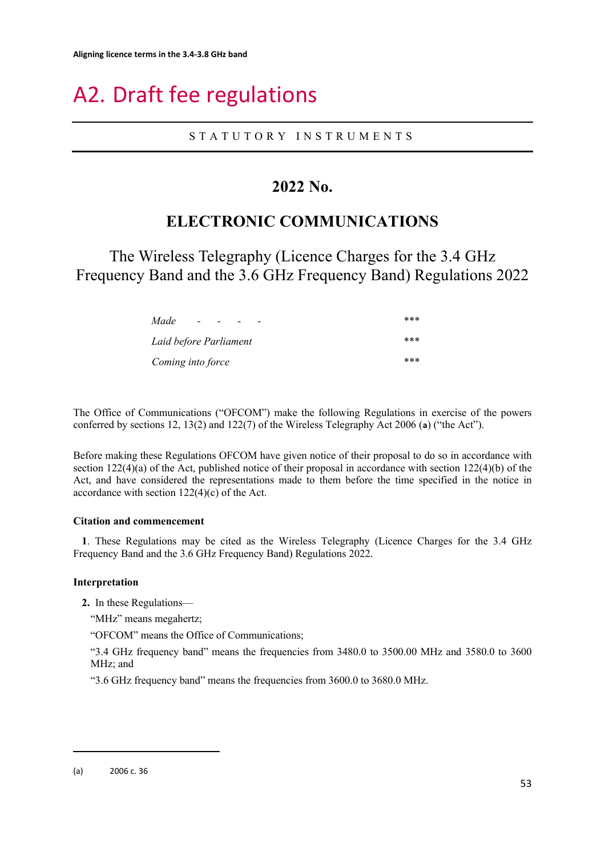# <span id="page-52-0"></span>A2. Draft fee regulations

#### STATUTORY INSTRUMENTS

# **2022 No.**

# **ELECTRONIC COMMUNICATIONS**

The Wireless Telegraphy (Licence Charges for the 3.4 GHz Frequency Band and the 3.6 GHz Frequency Band) Regulations 2022

| Made<br>$-$<br>-       | *** |
|------------------------|-----|
| Laid before Parliament | *** |
| Coming into force      | *** |

The Office of Communications ("OFCOM") make the following Regulations in exercise of the powers conferred by sections 12, 13(2) and 122(7) of the Wireless Telegraphy Act 2006 (**[a](#page-52-1)**) ("the Act").

Before making these Regulations OFCOM have given notice of their proposal to do so in accordance with section 122(4)(a) of the Act, published notice of their proposal in accordance with section 122(4)(b) of the Act, and have considered the representations made to them before the time specified in the notice in accordance with section  $122(4)(c)$  of the Act.

#### **Citation and commencement**

**1**. These Regulations may be cited as the Wireless Telegraphy (Licence Charges for the 3.4 GHz Frequency Band and the 3.6 GHz Frequency Band) Regulations 2022.

#### **Interpretation**

**2.** In these Regulations—

"MHz" means megahertz;

"OFCOM" means the Office of Communications;

"3.4 GHz frequency band" means the frequencies from 3480.0 to 3500.00 MHz and 3580.0 to 3600 MHz; and

"3.6 GHz frequency band" means the frequencies from 3600.0 to 3680.0 MHz.

<span id="page-52-1"></span><sup>(</sup>a) 2006 c. 36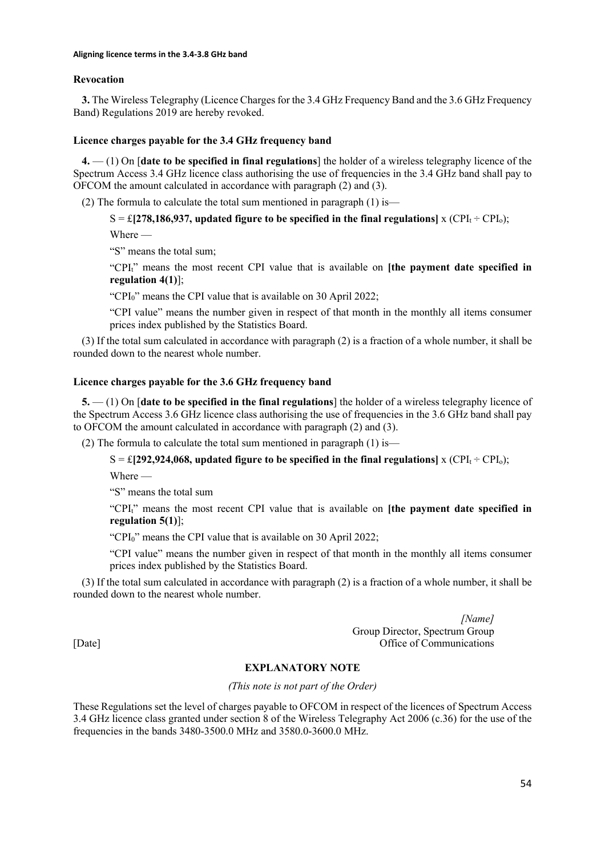#### **Revocation**

**3.** The Wireless Telegraphy (Licence Charges for the 3.4 GHz Frequency Band and the 3.6 GHz Frequency Band) Regulations 2019 are hereby revoked.

#### **Licence charges payable for the 3.4 GHz frequency band**

**4.** — (1) On [**date to be specified in final regulations**] the holder of a wireless telegraphy licence of the Spectrum Access 3.4 GHz licence class authorising the use of frequencies in the 3.4 GHz band shall pay to OFCOM the amount calculated in accordance with paragraph (2) and (3).

(2) The formula to calculate the total sum mentioned in paragraph  $(1)$  is—

 $S = \pounds [278,186,937,$  updated figure to be specified in the final regulations] x (CPI<sub>t</sub>  $\div$  CPI<sub>o</sub>);

Where —

"S" means the total sum;

"CPIt" means the most recent CPI value that is available on **[the payment date specified in regulation 4(1)**];

"CPI<sub>0</sub>" means the CPI value that is available on 30 April 2022;

"CPI value" means the number given in respect of that month in the monthly all items consumer prices index published by the Statistics Board.

(3) If the total sum calculated in accordance with paragraph (2) is a fraction of a whole number, it shall be rounded down to the nearest whole number.

#### **Licence charges payable for the 3.6 GHz frequency band**

**5.** — (1) On [**date to be specified in the final regulations**] the holder of a wireless telegraphy licence of the Spectrum Access 3.6 GHz licence class authorising the use of frequencies in the 3.6 GHz band shall pay to OFCOM the amount calculated in accordance with paragraph (2) and (3).

(2) The formula to calculate the total sum mentioned in paragraph  $(1)$  is—

 $S = \pounds [292,924,068,$  updated figure to be specified in the final regulations] x (CPI<sub>t</sub> ÷ CPI<sub>o</sub>);

Where —

"S" means the total sum

"CPIt" means the most recent CPI value that is available on **[the payment date specified in regulation 5(1)**];

"CPI0" means the CPI value that is available on 30 April 2022;

"CPI value" means the number given in respect of that month in the monthly all items consumer prices index published by the Statistics Board.

(3) If the total sum calculated in accordance with paragraph (2) is a fraction of a whole number, it shall be rounded down to the nearest whole number.

*[Name]* Group Director, Spectrum Group [Date] Office of Communications

#### **EXPLANATORY NOTE**

*(This note is not part of the Order)*

These Regulations set the level of charges payable to OFCOM in respect of the licences of Spectrum Access 3.4 GHz licence class granted under section 8 of the Wireless Telegraphy Act 2006 (c.36) for the use of the frequencies in the bands 3480-3500.0 MHz and 3580.0-3600.0 MHz.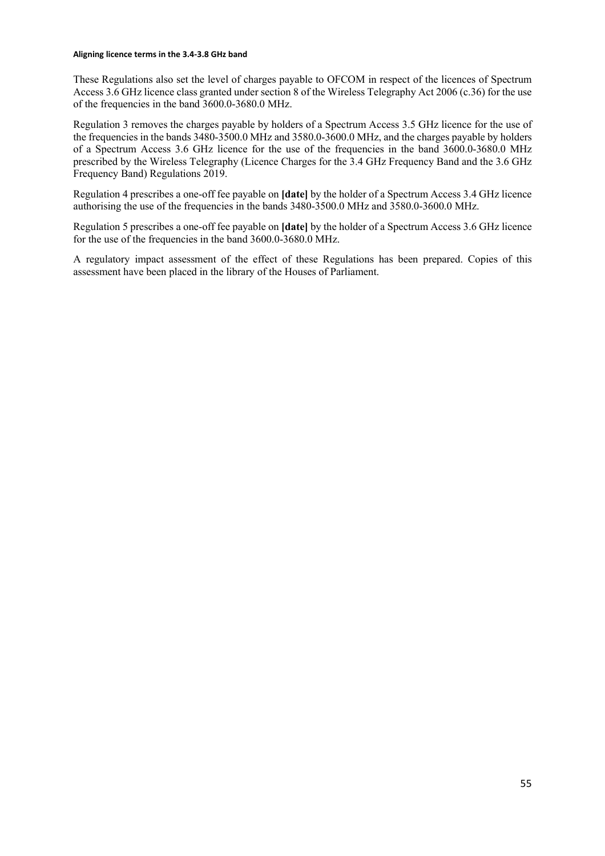#### **Aligning licence terms in the 3.4-3.8 GHz band**

These Regulations also set the level of charges payable to OFCOM in respect of the licences of Spectrum Access 3.6 GHz licence class granted under section 8 of the Wireless Telegraphy Act 2006 (c.36) for the use of the frequencies in the band 3600.0-3680.0 MHz.

Regulation 3 removes the charges payable by holders of a Spectrum Access 3.5 GHz licence for the use of the frequencies in the bands 3480-3500.0 MHz and 3580.0-3600.0 MHz, and the charges payable by holders of a Spectrum Access 3.6 GHz licence for the use of the frequencies in the band 3600.0-3680.0 MHz prescribed by the Wireless Telegraphy (Licence Charges for the 3.4 GHz Frequency Band and the 3.6 GHz Frequency Band) Regulations 2019.

Regulation 4 prescribes a one-off fee payable on **[date]** by the holder of a Spectrum Access 3.4 GHz licence authorising the use of the frequencies in the bands 3480-3500.0 MHz and 3580.0-3600.0 MHz.

Regulation 5 prescribes a one-off fee payable on **[date]** by the holder of a Spectrum Access 3.6 GHz licence for the use of the frequencies in the band 3600.0-3680.0 MHz.

A regulatory impact assessment of the effect of these Regulations has been prepared. Copies of this assessment have been placed in the library of the Houses of Parliament.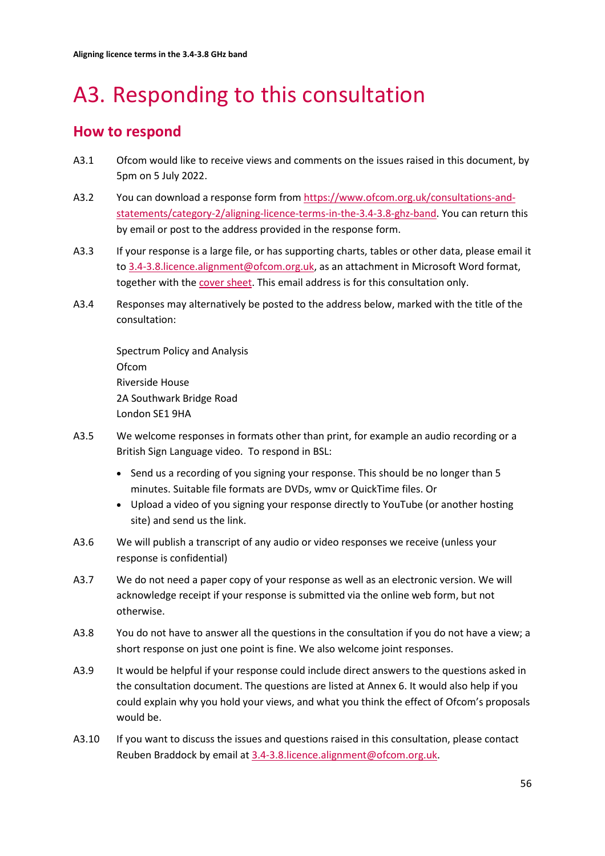# <span id="page-55-0"></span>A3. Responding to this consultation

# **How to respond**

- A3.1 Ofcom would like to receive views and comments on the issues raised in this document, by 5pm on 5 July 2022.
- A3.2 You can download a response form from [https://www.ofcom.org.uk/consultations-and](https://www.ofcom.org.uk/consultations-and-statements/category-2/aligning-licence-terms-in-the-3.4-3.8-ghz-band)[statements/category-2/aligning-licence-terms-in-the-3.4-3.8-ghz-band.](https://www.ofcom.org.uk/consultations-and-statements/category-2/aligning-licence-terms-in-the-3.4-3.8-ghz-band) You can return this by email or post to the address provided in the response form.
- A3.3 If your response is a large file, or has supporting charts, tables or other data, please email it t[o 3.4-3.8.licence.alignment@ofcom.org.uk,](mailto:3.4-3.8.licence.alignment@ofcom.org.uk) as an attachment in Microsoft Word format, together with th[e cover sheet.](https://www.ofcom.org.uk/consultations-and-statements/consultation-response-coversheet) This email address is for this consultation only.
- A3.4 Responses may alternatively be posted to the address below, marked with the title of the consultation:

Spectrum Policy and Analysis Ofcom Riverside House 2A Southwark Bridge Road London SE1 9HA

- A3.5 We welcome responses in formats other than print, for example an audio recording or a British Sign Language video. To respond in BSL:
	- Send us a recording of you signing your response. This should be no longer than 5 minutes. Suitable file formats are DVDs, wmv or QuickTime files. Or
	- Upload a video of you signing your response directly to YouTube (or another hosting site) and send us the link.
- A3.6 We will publish a transcript of any audio or video responses we receive (unless your response is confidential)
- A3.7 We do not need a paper copy of your response as well as an electronic version. We will acknowledge receipt if your response is submitted via the online web form, but not otherwise.
- A3.8 You do not have to answer all the questions in the consultation if you do not have a view; a short response on just one point is fine. We also welcome joint responses.
- A3.9 It would be helpful if your response could include direct answers to the questions asked in the consultation document. The questions are listed at Annex 6. It would also help if you could explain why you hold your views, and what you think the effect of Ofcom's proposals would be.
- A3.10 If you want to discuss the issues and questions raised in this consultation, please contact Reuben Braddock by email a[t 3.4-3.8.licence.alignment@ofcom.org.uk.](mailto:3.4-3.8.licence.alignment@ofcom.org.uk)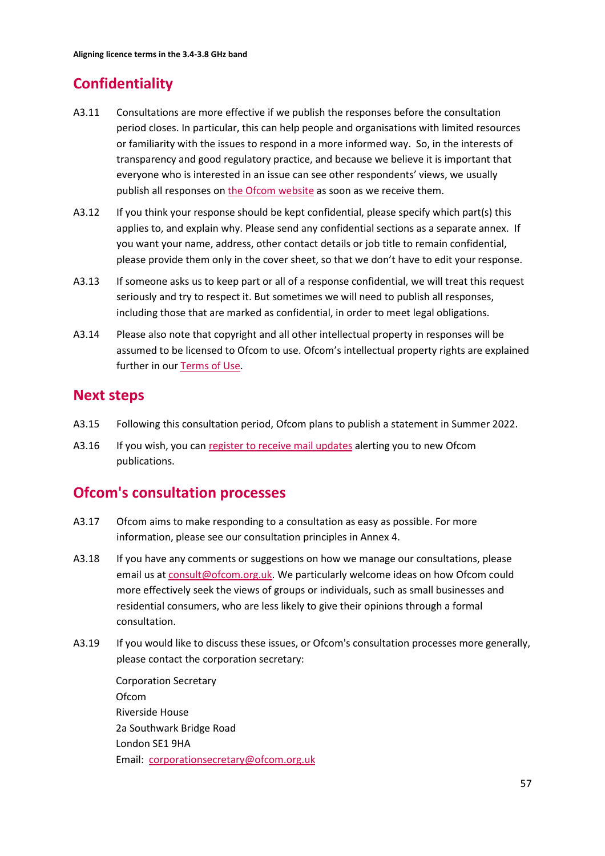# **Confidentiality**

- A3.11 Consultations are more effective if we publish the responses before the consultation period closes. In particular, this can help people and organisations with limited resources or familiarity with the issues to respond in a more informed way. So, in the interests of transparency and good regulatory practice, and because we believe it is important that everyone who is interested in an issue can see other respondents' views, we usually publish all responses on [the Ofcom](http://www.ofcom.org.uk/) website as soon as we receive them.
- A3.12 If you think your response should be kept confidential, please specify which part(s) this applies to, and explain why. Please send any confidential sections as a separate annex. If you want your name, address, other contact details or job title to remain confidential, please provide them only in the cover sheet, so that we don't have to edit your response.
- A3.13 If someone asks us to keep part or all of a response confidential, we will treat this request seriously and try to respect it. But sometimes we will need to publish all responses, including those that are marked as confidential, in order to meet legal obligations.
- A3.14 Please also note that copyright and all other intellectual property in responses will be assumed to be licensed to Ofcom to use. Ofcom's intellectual property rights are explained further in ou[r Terms of Use.](https://www.ofcom.org.uk/about-ofcom/website/terms-of-use)

# **Next steps**

- A3.15 Following this consultation period, Ofcom plans to publish a statement in Summer 2022.
- A3.16 If you wish, you can [register to receive mail updates](https://www.ofcom.org.uk/about-ofcom/latest/email-updates) alerting you to new Ofcom publications.

# **Ofcom's consultation processes**

- A3.17 Ofcom aims to make responding to a consultation as easy as possible. For more information, please see our consultation principles in Annex 4.
- A3.18 If you have any comments or suggestions on how we manage our consultations, please email us a[t consult@ofcom.org.uk.](mailto:consult@ofcom.org.uk) We particularly welcome ideas on how Ofcom could more effectively seek the views of groups or individuals, such as small businesses and residential consumers, who are less likely to give their opinions through a formal consultation.
- A3.19 If you would like to discuss these issues, or Ofcom's consultation processes more generally, please contact the corporation secretary:

Corporation Secretary Ofcom Riverside House 2a Southwark Bridge Road London SE1 9HA Email: [corporationsecretary@ofcom.org.uk](mailto:corporationsecretary@ofcom.org.uk)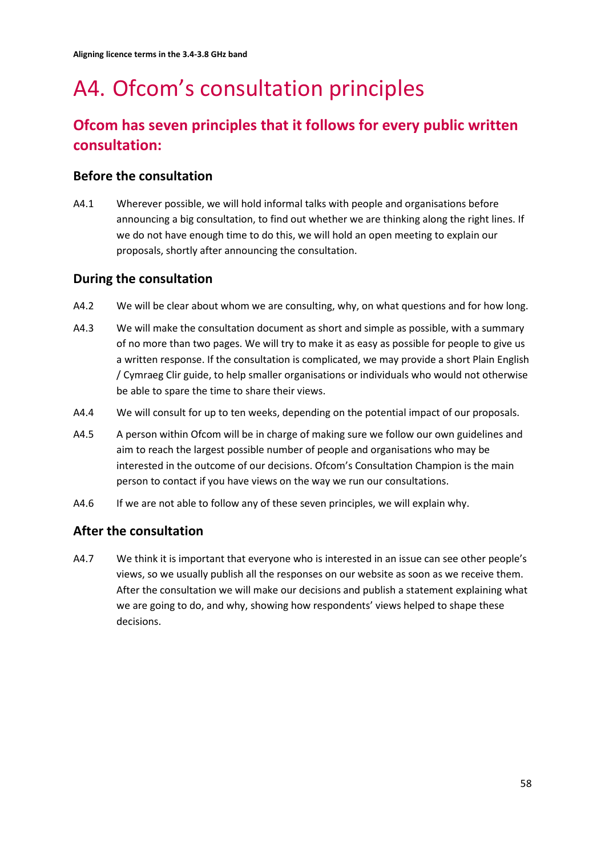# <span id="page-57-0"></span>A4. Ofcom's consultation principles

# **Ofcom has seven principles that it follows for every public written consultation:**

# **Before the consultation**

A4.1 Wherever possible, we will hold informal talks with people and organisations before announcing a big consultation, to find out whether we are thinking along the right lines. If we do not have enough time to do this, we will hold an open meeting to explain our proposals, shortly after announcing the consultation.

# **During the consultation**

- A4.2 We will be clear about whom we are consulting, why, on what questions and for how long.
- A4.3 We will make the consultation document as short and simple as possible, with a summary of no more than two pages. We will try to make it as easy as possible for people to give us a written response. If the consultation is complicated, we may provide a short Plain English / Cymraeg Clir guide, to help smaller organisations or individuals who would not otherwise be able to spare the time to share their views.
- A4.4 We will consult for up to ten weeks, depending on the potential impact of our proposals.
- A4.5 A person within Ofcom will be in charge of making sure we follow our own guidelines and aim to reach the largest possible number of people and organisations who may be interested in the outcome of our decisions. Ofcom's Consultation Champion is the main person to contact if you have views on the way we run our consultations.
- A4.6 If we are not able to follow any of these seven principles, we will explain why.

# **After the consultation**

A4.7 We think it is important that everyone who is interested in an issue can see other people's views, so we usually publish all the responses on our website as soon as we receive them. After the consultation we will make our decisions and publish a statement explaining what we are going to do, and why, showing how respondents' views helped to shape these decisions.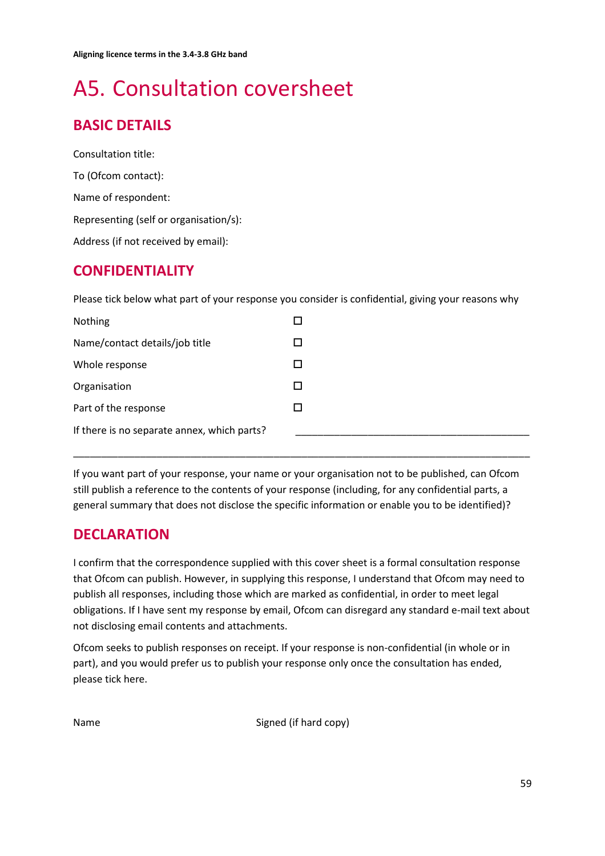# <span id="page-58-0"></span>A5. Consultation coversheet

# **BASIC DETAILS**

Consultation title: To (Ofcom contact): Name of respondent: Representing (self or organisation/s): Address (if not received by email):

# **CONFIDENTIALITY**

Please tick below what part of your response you consider is confidential, giving your reasons why

| Nothing                                     |  |
|---------------------------------------------|--|
| Name/contact details/job title              |  |
| Whole response                              |  |
| Organisation                                |  |
| Part of the response                        |  |
| If there is no separate annex, which parts? |  |

If you want part of your response, your name or your organisation not to be published, can Ofcom still publish a reference to the contents of your response (including, for any confidential parts, a general summary that does not disclose the specific information or enable you to be identified)?

\_\_\_\_\_\_\_\_\_\_\_\_\_\_\_\_\_\_\_\_\_\_\_\_\_\_\_\_\_\_\_\_\_\_\_\_\_\_\_\_\_\_\_\_\_\_\_\_\_\_\_\_\_\_\_\_\_\_\_\_\_\_\_\_\_\_\_\_\_\_\_\_\_\_\_\_\_\_\_\_\_\_

# **DECLARATION**

I confirm that the correspondence supplied with this cover sheet is a formal consultation response that Ofcom can publish. However, in supplying this response, I understand that Ofcom may need to publish all responses, including those which are marked as confidential, in order to meet legal obligations. If I have sent my response by email, Ofcom can disregard any standard e-mail text about not disclosing email contents and attachments.

Ofcom seeks to publish responses on receipt. If your response is non-confidential (in whole or in part), and you would prefer us to publish your response only once the consultation has ended, please tick here.

Name Signed (if hard copy)